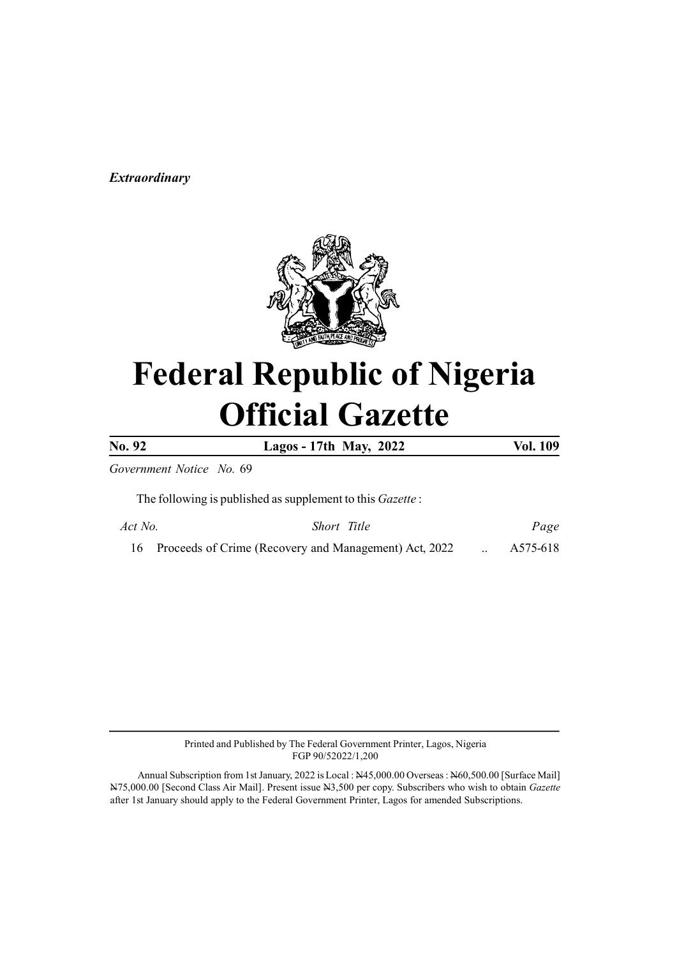#### (Recovery and Management) Act, 2022 Extraordinary



# Federal Republic of Nigeria Official Gazette

No. 92 Lagos - 17th May, 2022 Vol. 109

Government Notice No. 69

The following is published as supplement to this Gazette :

| Act No. | Short Title                                                        | Page |
|---------|--------------------------------------------------------------------|------|
|         | 16 Proceeds of Crime (Recovery and Management) Act, 2022  A575-618 |      |

Printed and Published by The Federal Government Printer, Lagos, Nigeria FGP 90/52022/1,200

Annual Subscription from 1st January, 2022 is Local : N45,000.00 Overseas : N60,500.00 [Surface Mail] N75,000.00 [Second Class Air Mail]. Present issue N3,500 per copy. Subscribers who wish to obtain Gazette after 1st January should apply to the Federal Government Printer, Lagos for amended Subscriptions.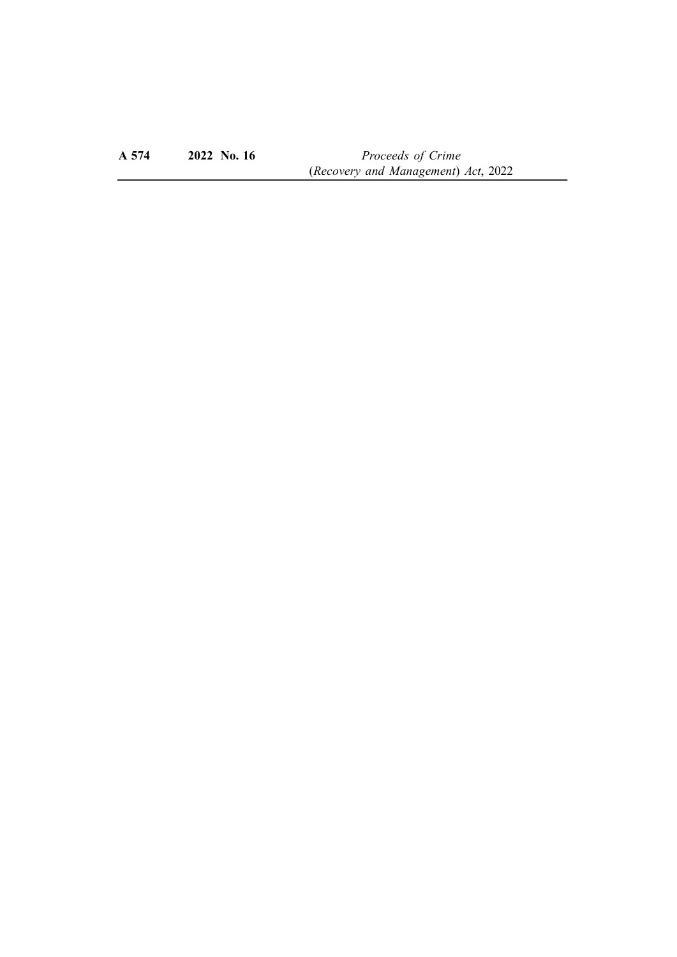(Recovery and Management) Act, 2022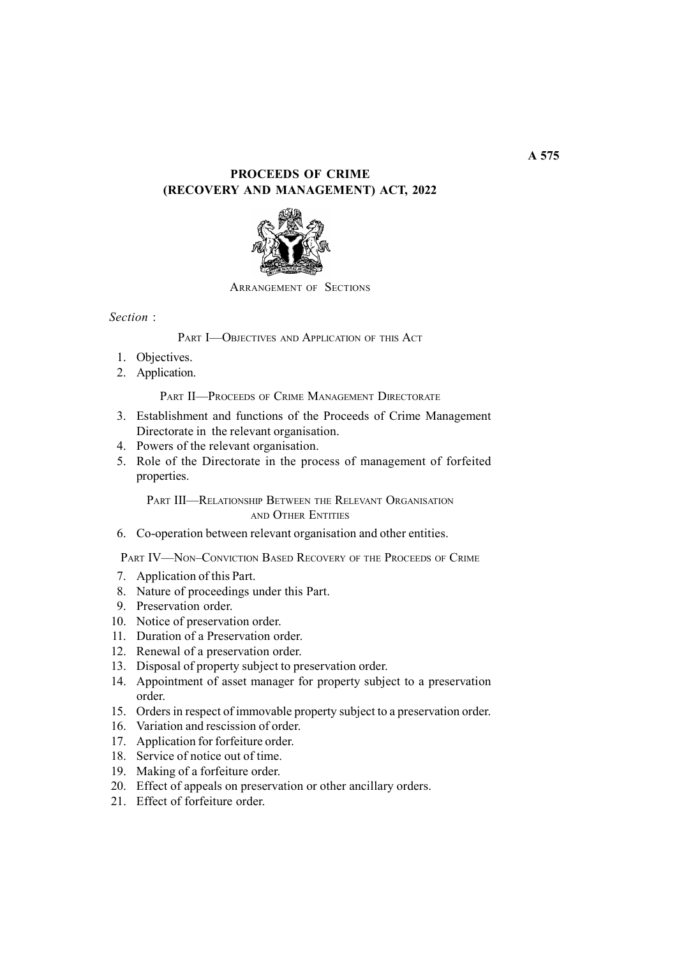# PROCEEDS OF CRIME (RECOVERY AND MANAGEMENT) ACT, 2022



ARRANGEMENT OF SECTIONS

#### Section :

#### PART **I**-OBJECTIVES AND **APPLICATION** OF THIS ACT

- 1. Objectives.
- 2. Application.

#### PART II—PROCEEDS OF CRIME MANAGEMENT DIRECTORATE

- 3. Establishment and functions of the Proceeds of Crime Management Directorate in the relevant organisation.
- 4. Powers of the relevant organisation.
- 5. Role of the Directorate in the process of management of forfeited properties.

PART III—RELATIONSHIP BETWEEN THE RELEVANT ORGANISATION AND OTHER ENTITIES

6. Co-operation between relevant organisation and other entities.

PART IV—NON–CONVICTION BASED RECOVERY OF THE PROCEEDS OF CRIME

- 7. Application of this Part.
- 8. Nature of proceedings under this Part.
- 9. Preservation order.
- 10. Notice of preservation order.
- 11. Duration of a Preservation order.
- 12. Renewal of a preservation order.
- 13. Disposal of property subject to preservation order.
- 14. Appointment of asset manager for property subject to a preservation order.
- 15. Orders in respect of immovable property subject to a preservation order.
- 16. Variation and rescission of order.
- 17. Application for forfeiture order.
- 18. Service of notice out of time.
- 19. Making of a forfeiture order.
- 20. Effect of appeals on preservation or other ancillary orders.
- 21. Effect of forfeiture order.

 $A 575$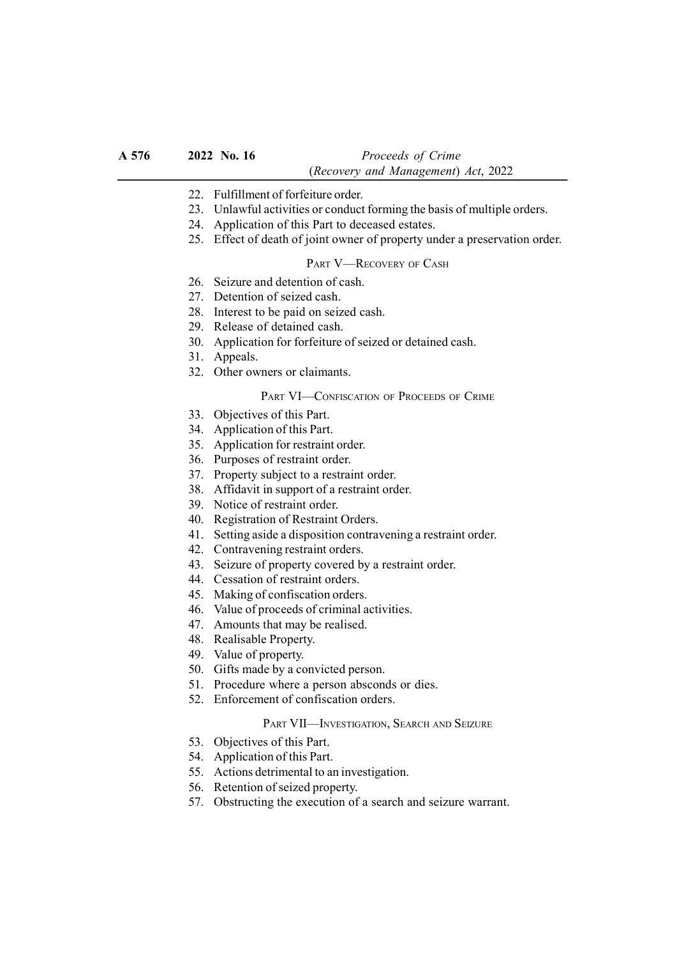- 22. Fulfillment of forfeiture order.
- 23. Unlawful activities or conduct forming the basis of multiple orders.
- 24. Application of this Part to deceased estates.
- 25. Effect of death of joint owner of property under a preservation order.

#### PART V-RECOVERY OF CASH

- 26. Seizure and detention of cash.
- 27. Detention of seized cash.
- 28. Interest to be paid on seized cash.
- 29. Release of detained cash.
- 30. Application for forfeiture of seized or detained cash.
- 31. Appeals.
- 32. Other owners or claimants.

#### PART VI—CONFISCATION OF PROCEEDS OF CRIME

- 33. Objectives of this Part.
- 34. Application of this Part.
- 35. Application for restraint order.
- 36. Purposes of restraint order.
- 37. Property subject to a restraint order.
- 38. Affidavit in support of a restraint order.
- 39. Notice of restraint order.
- 40. Registration of Restraint Orders.
- 41. Setting aside a disposition contravening a restraint order.
- 42. Contravening restraint orders.
- 43. Seizure of property covered by a restraint order.
- 44. Cessation of restraint orders.
- 45. Making of confiscation orders.
- 46. Value of proceeds of criminal activities.
- 47. Amounts that may be realised.
- 48. Realisable Property.
- 49. Value of property.
- 50. Gifts made by a convicted person.
- 51. Procedure where a person absconds or dies.
- 52. Enforcement of confiscation orders.

#### PART VII-INVESTIGATION, SEARCH AND SEIZURE

- 53. Objectives of this Part.
- 54. Application of this Part.
- 55. Actions detrimental to an investigation.
- 56. Retention of seized property.
- 57. Obstructing the execution of a search and seizure warrant.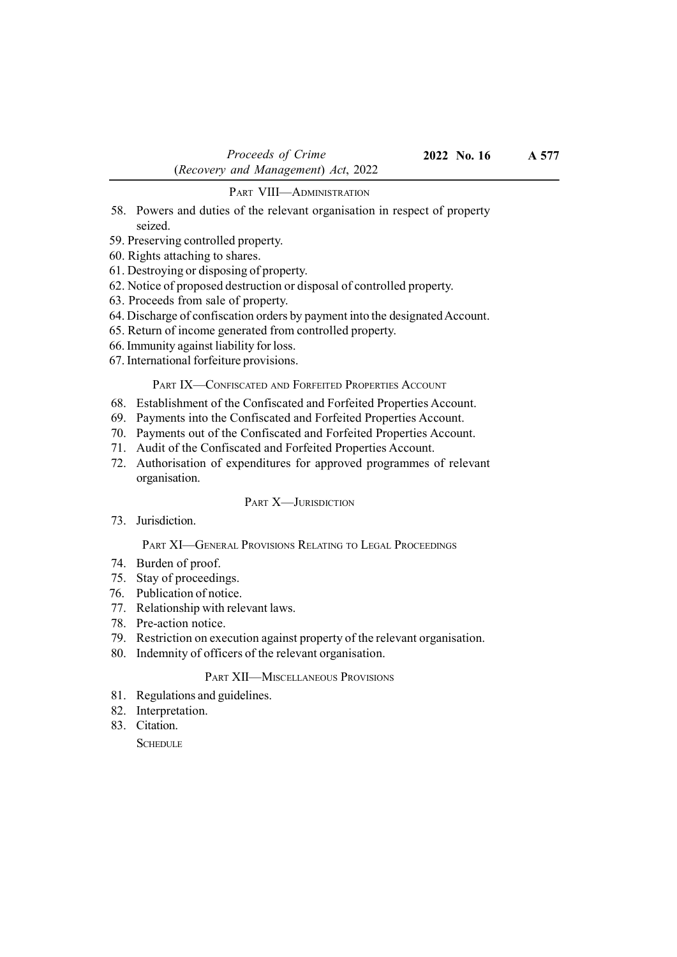#### PART VIII-ADMINISTRATION

- 58. Powers and duties of the relevant organisation in respect of property seized.
- 59. Preserving controlled property.
- 60. Rights attaching to shares.
- 61. Destroying or disposing of property.
- 62. Notice of proposed destruction or disposal of controlled property.
- 63. Proceeds from sale of property.
- 64. Discharge of confiscation orders by payment into the designated Account.
- 65. Return of income generated from controlled property.
- 66. Immunity against liability for loss.
- 67. International forfeiture provisions.

#### PART IX—CONFISCATED AND FORFEITED PROPERTIES ACCOUNT

- 68. Establishment of the Confiscated and Forfeited Properties Account.
- 69. Payments into the Confiscated and Forfeited Properties Account.
- 70. Payments out of the Confiscated and Forfeited Properties Account.
- 71. Audit of the Confiscated and Forfeited Properties Account.
- 72. Authorisation of expenditures for approved programmes of relevant organisation.

#### PART **X**-JURISDICTION

73. Jurisdiction.

# PART XI—GENERAL PROVISIONS RELATING TO LEGAL PROCEEDINGS

- 74. Burden of proof.
- 75. Stay of proceedings.
- 76. Publication of notice.
- 77. Relationship with relevant laws.
- 78. Pre-action notice.
- 79. Restriction on execution against property of the relevant organisation.
- 80. Indemnity of officers of the relevant organisation.

#### PART XII—MISCELLANEOUS PROVISIONS

- 81. Regulations and guidelines.
- 82. Interpretation.
- 83. Citation.

**SCHEDULE**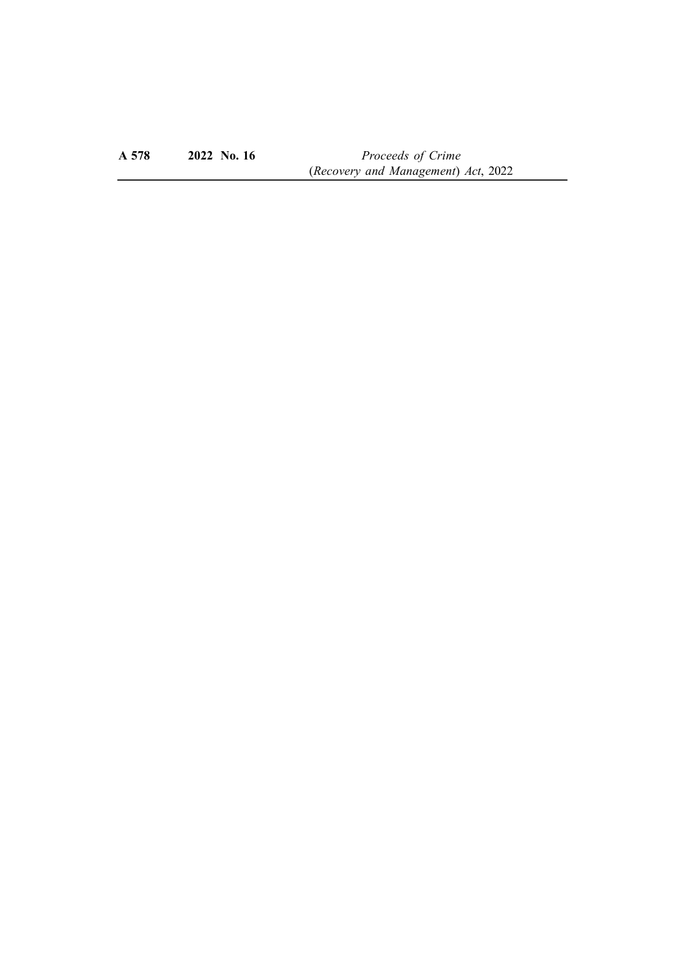(Recovery and Management) Act, 2022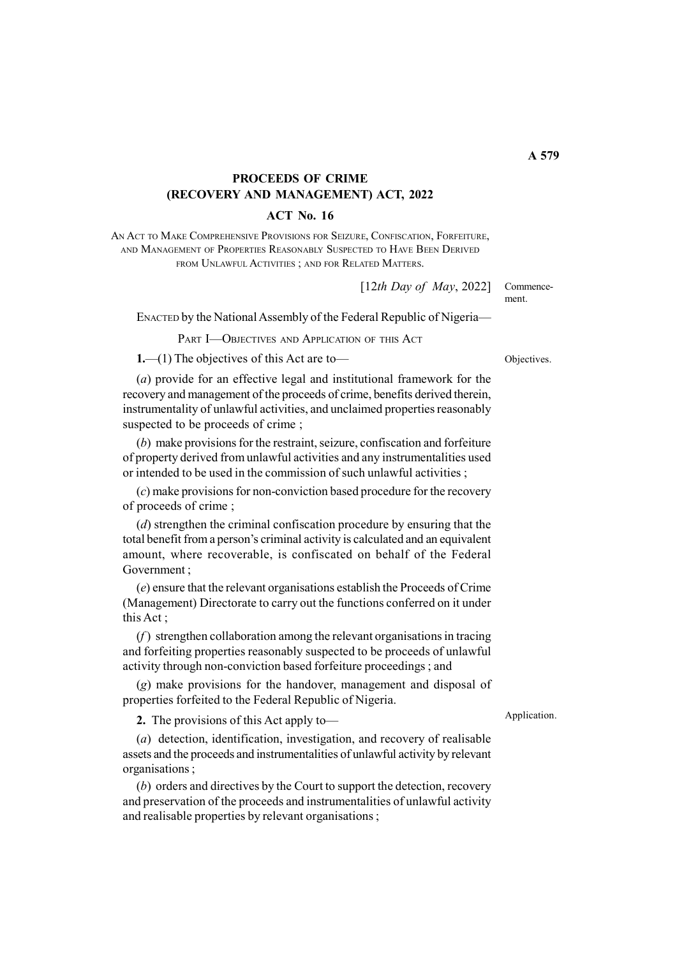# PROCEEDS OF CRIME (RECOVERY AND MANAGEMENT) ACT, 2022

#### ACT No. 16

AN ACT TO MAKE COMPREHENSIVE PROVISIONS FOR SEIZURE, CONFISCATION, FORFEITURE, AND MANAGEMENT OF PROPERTIES REASONABLY SUSPECTED TO HAVE BEEN DERIVED FROM UNLAWFUL ACTIVITIES; AND FOR RELATED MATTERS.

[12th Day of May, 2022]

ENACTED by the National Assembly of the Federal Republic of Nigeria—

PART **I**-OBJECTIVES AND APPLICATION OF THIS ACT

1.—(1) The objectives of this Act are to—

(a) provide for an effective legal and institutional framework for the recovery and management of the proceeds of crime, benefits derived therein, instrumentality of unlawful activities, and unclaimed properties reasonably suspected to be proceeds of crime ;

(b) make provisions for the restraint, seizure, confiscation and forfeiture of property derived from unlawful activities and any instrumentalities used or intended to be used in the commission of such unlawful activities ;

(c) make provisions for non-conviction based procedure for the recovery of proceeds of crime ;

(d) strengthen the criminal confiscation procedure by ensuring that the total benefit from a person's criminal activity is calculated and an equivalent amount, where recoverable, is confiscated on behalf of the Federal Government ;

(e) ensure that the relevant organisations establish the Proceeds of Crime (Management) Directorate to carry out the functions conferred on it under this Act ;

 $(f)$  strengthen collaboration among the relevant organisations in tracing and forfeiting properties reasonably suspected to be proceeds of unlawful activity through non-conviction based forfeiture proceedings ; and

(g) make provisions for the handover, management and disposal of properties forfeited to the Federal Republic of Nigeria.

2. The provisions of this Act apply to—

(a) detection, identification, investigation, and recovery of realisable assets and the proceeds and instrumentalities of unlawful activity by relevant organisations ;

(b) orders and directives by the Court to support the detection, recovery and preservation of the proceeds and instrumentalities of unlawful activity and realisable properties by relevant organisations ;

Objectives.

Commencement.

Application.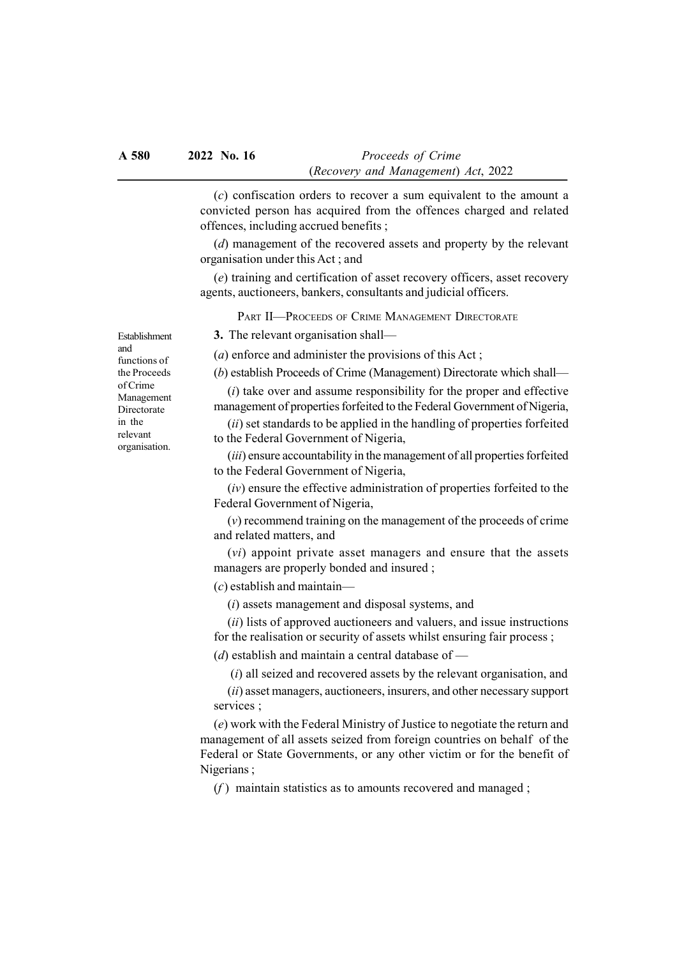(c) confiscation orders to recover a sum equivalent to the amount a convicted person has acquired from the offences charged and related offences, including accrued benefits ;

(d) management of the recovered assets and property by the relevant organisation under this Act ; and

(e) training and certification of asset recovery officers, asset recovery agents, auctioneers, bankers, consultants and judicial officers.

PART II-PROCEEDS OF CRIME MANAGEMENT DIRECTORATE

Establishment 3. The relevant organisation shall—

and  $\begin{pmatrix} a \end{pmatrix}$  enforce and administer the provisions of this Act;

(b) establish Proceeds of Crime (Management) Directorate which shall— the Proceeds

of Crime<br>Monography (i) take over and assume responsibility for the proper and effective management of properties forfeited to the Federal Government of Nigeria, Directorate

in the  $(ii)$  set standards to be applied in the handling of properties forfeited to the Federal Government of Nigeria,

> (*iii*) ensure accountability in the management of all properties forfeited to the Federal Government of Nigeria,

> $(iv)$  ensure the effective administration of properties forfeited to the Federal Government of Nigeria,

> (v) recommend training on the management of the proceeds of crime and related matters, and

> (vi) appoint private asset managers and ensure that the assets managers are properly bonded and insured ;

 $(c)$  establish and maintain—

(i) assets management and disposal systems, and

(ii) lists of approved auctioneers and valuers, and issue instructions for the realisation or security of assets whilst ensuring fair process ;

(d) establish and maintain a central database of  $-$ 

 $(i)$  all seized and recovered assets by the relevant organisation, and

(ii) asset managers, auctioneers, insurers, and other necessary support services ;

(e) work with the Federal Ministry of Justice to negotiate the return and management of all assets seized from foreign countries on behalf of the Federal or State Governments, or any other victim or for the benefit of Nigerians ;

 $(f)$  maintain statistics as to amounts recovered and managed;

functions of Management relevant organisation.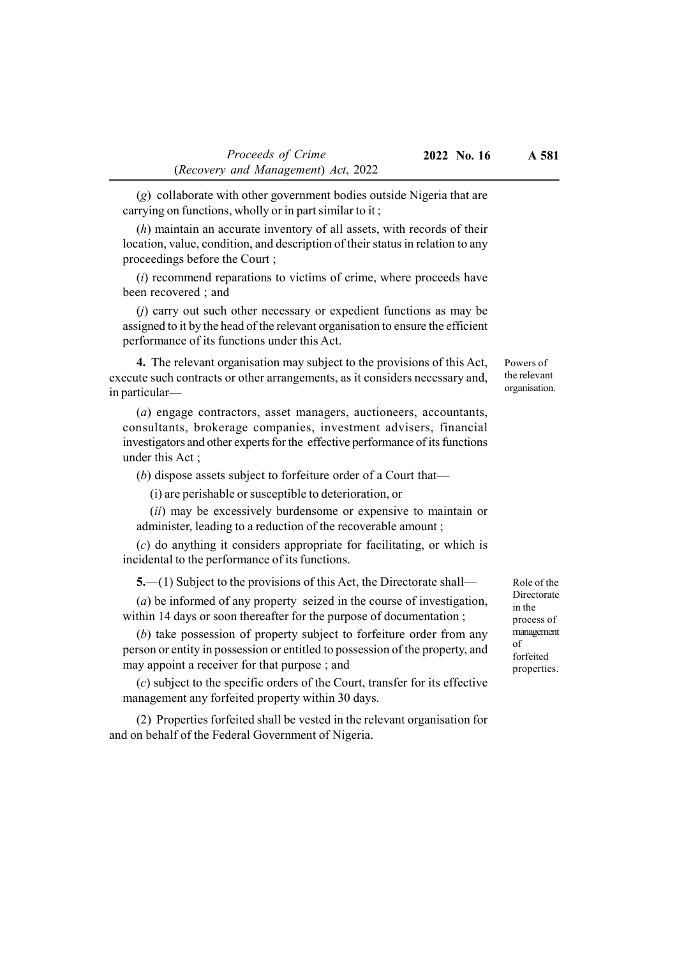(g) collaborate with other government bodies outside Nigeria that are carrying on functions, wholly or in part similar to it ;

(h) maintain an accurate inventory of all assets, with records of their location, value, condition, and description of their status in relation to any proceedings before the Court ;

 $(i)$  recommend reparations to victims of crime, where proceeds have been recovered ; and

(j) carry out such other necessary or expedient functions as may be assigned to it by the head of the relevant organisation to ensure the efficient performance of its functions under this Act.

4. The relevant organisation may subject to the provisions of this Act, execute such contracts or other arrangements, as it considers necessary and, in particular—

(a) engage contractors, asset managers, auctioneers, accountants, consultants, brokerage companies, investment advisers, financial investigators and other experts for the effective performance of its functions under this Act ;

(b) dispose assets subject to forfeiture order of a Court that—

(i) are perishable or susceptible to deterioration, or

(ii) may be excessively burdensome or expensive to maintain or administer, leading to a reduction of the recoverable amount ;

(c) do anything it considers appropriate for facilitating, or which is incidental to the performance of its functions.

5.—(1) Subject to the provisions of this Act, the Directorate shall—

(a) be informed of any property seized in the course of investigation, within 14 days or soon thereafter for the purpose of documentation ;

(b) take possession of property subject to forfeiture order from any person or entity in possession or entitled to possession of the property, and may appoint a receiver for that purpose ; and

(c) subject to the specific orders of the Court, transfer for its effective management any forfeited property within 30 days.

(2) Properties forfeited shall be vested in the relevant organisation for and on behalf of the Federal Government of Nigeria.

Powers of the relevant organisation.

> Role of the Directorate in the process of management of forfeited properties.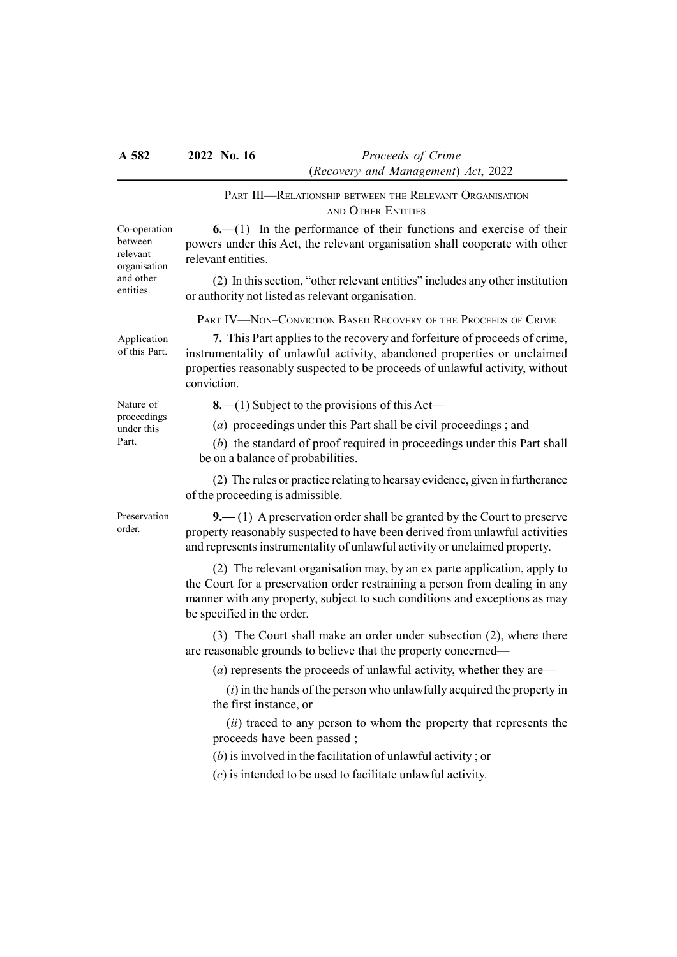|                                                     | (Recovery and Management) Act, 2022                                                                                                                                                                                                                                |
|-----------------------------------------------------|--------------------------------------------------------------------------------------------------------------------------------------------------------------------------------------------------------------------------------------------------------------------|
|                                                     | PART III-RELATIONSHIP BETWEEN THE RELEVANT ORGANISATION<br>AND OTHER ENTITIES                                                                                                                                                                                      |
| Co-operation<br>between<br>relevant<br>organisation | $6$ — $(1)$ In the performance of their functions and exercise of their<br>powers under this Act, the relevant organisation shall cooperate with other<br>relevant entities.                                                                                       |
| and other<br>entities.                              | (2) In this section, "other relevant entities" includes any other institution<br>or authority not listed as relevant organisation.                                                                                                                                 |
|                                                     | PART IV-NON-CONVICTION BASED RECOVERY OF THE PROCEEDS OF CRIME                                                                                                                                                                                                     |
| Application<br>of this Part.                        | 7. This Part applies to the recovery and forfeiture of proceeds of crime,<br>instrumentality of unlawful activity, abandoned properties or unclaimed<br>properties reasonably suspected to be proceeds of unlawful activity, without<br>conviction.                |
| Nature of                                           | $8-(1)$ Subject to the provisions of this Act—                                                                                                                                                                                                                     |
| proceedings<br>under this                           | (a) proceedings under this Part shall be civil proceedings; and                                                                                                                                                                                                    |
| Part.                                               | $(b)$ the standard of proof required in proceedings under this Part shall<br>be on a balance of probabilities.                                                                                                                                                     |
|                                                     | (2) The rules or practice relating to hearsay evidence, given in furtherance<br>of the proceeding is admissible.                                                                                                                                                   |
| Preservation<br>order.                              | $9 - (1)$ A preservation order shall be granted by the Court to preserve<br>property reasonably suspected to have been derived from unlawful activities<br>and represents instrumentality of unlawful activity or unclaimed property.                              |
|                                                     | (2) The relevant organisation may, by an ex parte application, apply to<br>the Court for a preservation order restraining a person from dealing in any<br>manner with any property, subject to such conditions and exceptions as may<br>be specified in the order. |
|                                                     | (3) The Court shall make an order under subsection (2), where there<br>are reasonable grounds to believe that the property concerned—                                                                                                                              |
|                                                     | $(a)$ represents the proceeds of unlawful activity, whether they are-                                                                                                                                                                                              |
|                                                     | $(i)$ in the hands of the person who unlawfully acquired the property in<br>the first instance, or                                                                                                                                                                 |
|                                                     | ( <i>ii</i> ) traced to any person to whom the property that represents the<br>proceeds have been passed;                                                                                                                                                          |
|                                                     | $(b)$ is involved in the facilitation of unlawful activity; or                                                                                                                                                                                                     |
|                                                     | $(c)$ is intended to be used to facilitate unlawful activity.                                                                                                                                                                                                      |
|                                                     |                                                                                                                                                                                                                                                                    |

A 582 2022 No. 16 Proceeds of Crime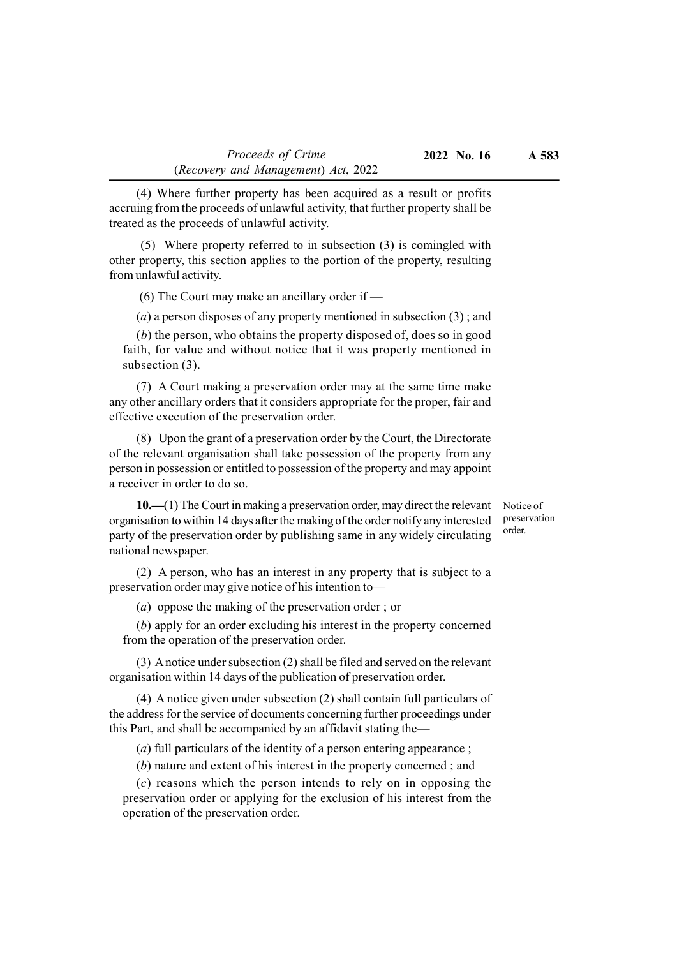(4) Where further property has been acquired as a result or profits accruing from the proceeds of unlawful activity, that further property shall be treated as the proceeds of unlawful activity.

 (5) Where property referred to in subsection (3) is comingled with other property, this section applies to the portion of the property, resulting from unlawful activity.

(6) The Court may make an ancillary order if —

(*a*) a person disposes of any property mentioned in subsection  $(3)$ ; and

(b) the person, who obtains the property disposed of, does so in good faith, for value and without notice that it was property mentioned in subsection (3).

(7) A Court making a preservation order may at the same time make any other ancillary orders that it considers appropriate for the proper, fair and effective execution of the preservation order.

(8) Upon the grant of a preservation order by the Court, the Directorate of the relevant organisation shall take possession of the property from any person in possession or entitled to possession of the property and may appoint a receiver in order to do so.

10.—(1) The Court in making a preservation order, may direct the relevant organisation to within 14 days after the making of the order notify any interested party of the preservation order by publishing same in any widely circulating national newspaper.

Notice of preservation order.

(2) A person, who has an interest in any property that is subject to a preservation order may give notice of his intention to—

(a) oppose the making of the preservation order ; or

(b) apply for an order excluding his interest in the property concerned from the operation of the preservation order.

(3) A notice under subsection (2) shall be filed and served on the relevant organisation within 14 days of the publication of preservation order.

(4) A notice given under subsection (2) shall contain full particulars of the address for the service of documents concerning further proceedings under this Part, and shall be accompanied by an affidavit stating the—

(a) full particulars of the identity of a person entering appearance ;

(b) nature and extent of his interest in the property concerned ; and

(c) reasons which the person intends to rely on in opposing the preservation order or applying for the exclusion of his interest from the operation of the preservation order.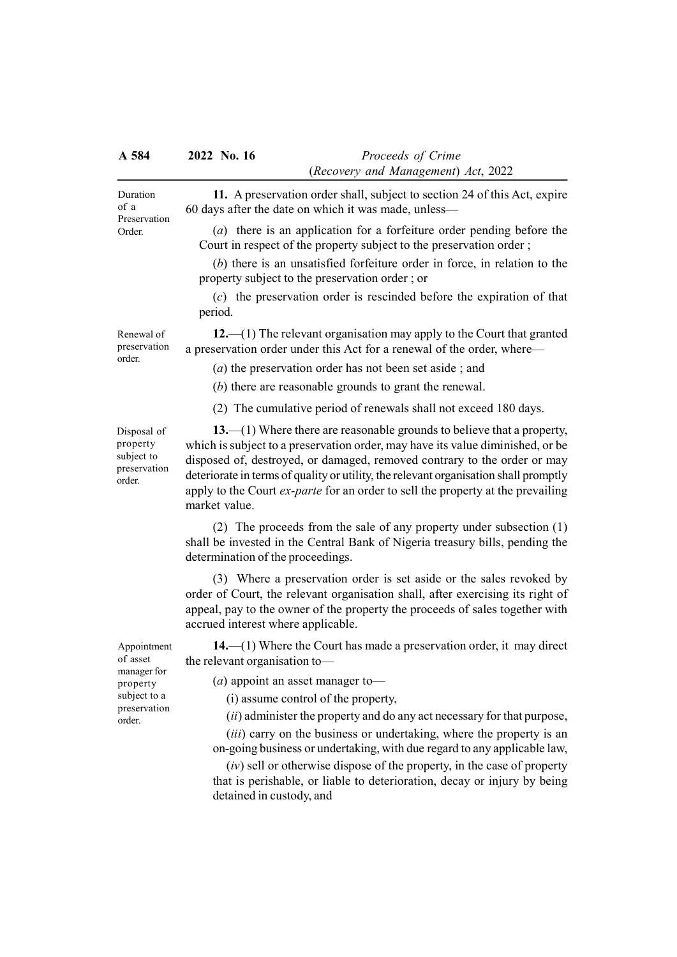| A 584                                                           | 2022 No. 16                        | Proceeds of Crime<br>(Recovery and Management) Act, 2022                                                                                                                                                                                                                                                                                                                                                        |
|-----------------------------------------------------------------|------------------------------------|-----------------------------------------------------------------------------------------------------------------------------------------------------------------------------------------------------------------------------------------------------------------------------------------------------------------------------------------------------------------------------------------------------------------|
| Duration<br>of a<br>Preservation                                |                                    | 11. A preservation order shall, subject to section 24 of this Act, expire<br>60 days after the date on which it was made, unless-                                                                                                                                                                                                                                                                               |
| Order.                                                          |                                    | (a) there is an application for a forfeiture order pending before the<br>Court in respect of the property subject to the preservation order;                                                                                                                                                                                                                                                                    |
|                                                                 |                                    | $(b)$ there is an unsatisfied forfeiture order in force, in relation to the<br>property subject to the preservation order; or                                                                                                                                                                                                                                                                                   |
|                                                                 | period.                            | $(c)$ the preservation order is rescinded before the expiration of that                                                                                                                                                                                                                                                                                                                                         |
| Renewal of<br>preservation<br>order.                            |                                    | 12.—(1) The relevant organisation may apply to the Court that granted<br>a preservation order under this Act for a renewal of the order, where—                                                                                                                                                                                                                                                                 |
|                                                                 |                                    | (a) the preservation order has not been set aside; and                                                                                                                                                                                                                                                                                                                                                          |
|                                                                 |                                    | $(b)$ there are reasonable grounds to grant the renewal.                                                                                                                                                                                                                                                                                                                                                        |
|                                                                 |                                    | (2) The cumulative period of renewals shall not exceed 180 days.                                                                                                                                                                                                                                                                                                                                                |
| Disposal of<br>property<br>subject to<br>preservation<br>order. | market value.                      | 13.—(1) Where there are reasonable grounds to believe that a property,<br>which is subject to a preservation order, may have its value diminished, or be<br>disposed of, destroyed, or damaged, removed contrary to the order or may<br>deteriorate in terms of quality or utility, the relevant organisation shall promptly<br>apply to the Court ex-parte for an order to sell the property at the prevailing |
|                                                                 | determination of the proceedings.  | (2) The proceeds from the sale of any property under subsection (1)<br>shall be invested in the Central Bank of Nigeria treasury bills, pending the                                                                                                                                                                                                                                                             |
|                                                                 | accrued interest where applicable. | (3) Where a preservation order is set aside or the sales revoked by<br>order of Court, the relevant organisation shall, after exercising its right of<br>appeal, pay to the owner of the property the proceeds of sales together with                                                                                                                                                                           |
| Appointment<br>of asset                                         | the relevant organisation to-      | $14.$ (1) Where the Court has made a preservation order, it may direct                                                                                                                                                                                                                                                                                                                                          |
| manager for<br>property                                         |                                    | ( <i>a</i> ) appoint an asset manager to-                                                                                                                                                                                                                                                                                                                                                                       |
| subject to a<br>preservation                                    |                                    | (i) assume control of the property,                                                                                                                                                                                                                                                                                                                                                                             |
| order.                                                          |                                    | (ii) administer the property and do any act necessary for that purpose,                                                                                                                                                                                                                                                                                                                                         |
|                                                                 |                                    | <i>(iii)</i> carry on the business or undertaking, where the property is an<br>on-going business or undertaking, with due regard to any applicable law,                                                                                                                                                                                                                                                         |
|                                                                 | detained in custody, and           | $(iv)$ sell or otherwise dispose of the property, in the case of property<br>that is perishable, or liable to deterioration, decay or injury by being                                                                                                                                                                                                                                                           |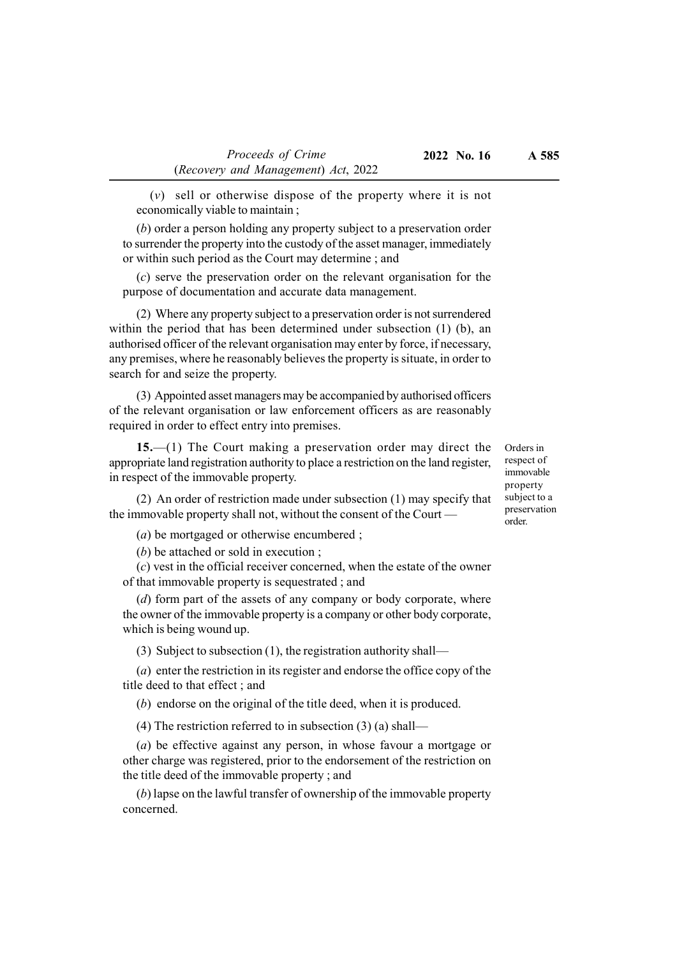(v) sell or otherwise dispose of the property where it is not economically viable to maintain ;

(b) order a person holding any property subject to a preservation order to surrender the property into the custody of the asset manager, immediately or within such period as the Court may determine ; and

(c) serve the preservation order on the relevant organisation for the purpose of documentation and accurate data management.

(2) Where any property subject to a preservation order is not surrendered within the period that has been determined under subsection (1) (b), an authorised officer of the relevant organisation may enter by force, if necessary, any premises, where he reasonably believes the property is situate, in order to search for and seize the property.

(3) Appointed asset managers may be accompanied by authorised officers of the relevant organisation or law enforcement officers as are reasonably required in order to effect entry into premises.

15.—(1) The Court making a preservation order may direct the appropriate land registration authority to place a restriction on the land register, in respect of the immovable property.

(2) An order of restriction made under subsection (1) may specify that the immovable property shall not, without the consent of the Court —

(a) be mortgaged or otherwise encumbered ;

(b) be attached or sold in execution :

(c) vest in the official receiver concerned, when the estate of the owner of that immovable property is sequestrated ; and

(d) form part of the assets of any company or body corporate, where the owner of the immovable property is a company or other body corporate, which is being wound up.

(3) Subject to subsection (1), the registration authority shall—

(a) enter the restriction in its register and endorse the office copy of the title deed to that effect ; and

(b) endorse on the original of the title deed, when it is produced.

(4) The restriction referred to in subsection (3) (a) shall—

(a) be effective against any person, in whose favour a mortgage or other charge was registered, prior to the endorsement of the restriction on the title deed of the immovable property ; and

(b) lapse on the lawful transfer of ownership of the immovable property concerned.

Orders in respect of immovable property subject to a preservation order.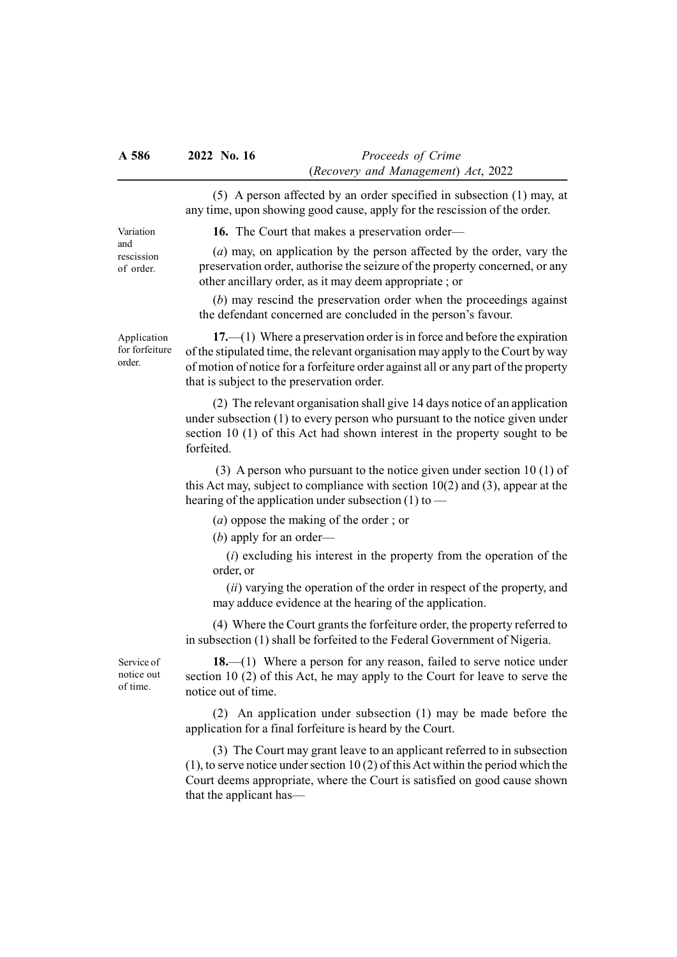(5) A person affected by an order specified in subsection (1) may, at any time, upon showing good cause, apply for the rescission of the order.

16. The Court that makes a preservation order—

(a) may, on application by the person affected by the order, vary the preservation order, authorise the seizure of the property concerned, or any other ancillary order, as it may deem appropriate ; or

(b) may rescind the preservation order when the proceedings against the defendant concerned are concluded in the person's favour.

17.—(1) Where a preservation order is in force and before the expiration of the stipulated time, the relevant organisation may apply to the Court by way of motion of notice for a forfeiture order against all or any part of the property that is subject to the preservation order.

(2) The relevant organisation shall give 14 days notice of an application under subsection (1) to every person who pursuant to the notice given under section 10 (1) of this Act had shown interest in the property sought to be forfeited.

 (3) A person who pursuant to the notice given under section 10 (1) of this Act may, subject to compliance with section  $10(2)$  and  $(3)$ , appear at the hearing of the application under subsection  $(1)$  to —

(a) oppose the making of the order ; or

(b) apply for an order—

 $(i)$  excluding his interest in the property from the operation of the order, or

(ii) varying the operation of the order in respect of the property, and may adduce evidence at the hearing of the application.

(4) Where the Court grants the forfeiture order, the property referred to in subsection (1) shall be forfeited to the Federal Government of Nigeria.

Service of notice out of time.

18.—(1) Where a person for any reason, failed to serve notice under section 10 (2) of this Act, he may apply to the Court for leave to serve the notice out of time.

(2) An application under subsection (1) may be made before the application for a final forfeiture is heard by the Court.

(3) The Court may grant leave to an applicant referred to in subsection (1), to serve notice under section 10 (2) of this Act within the period which the Court deems appropriate, where the Court is satisfied on good cause shown that the applicant has—

Variation and rescission of order.

Application for forfeiture order.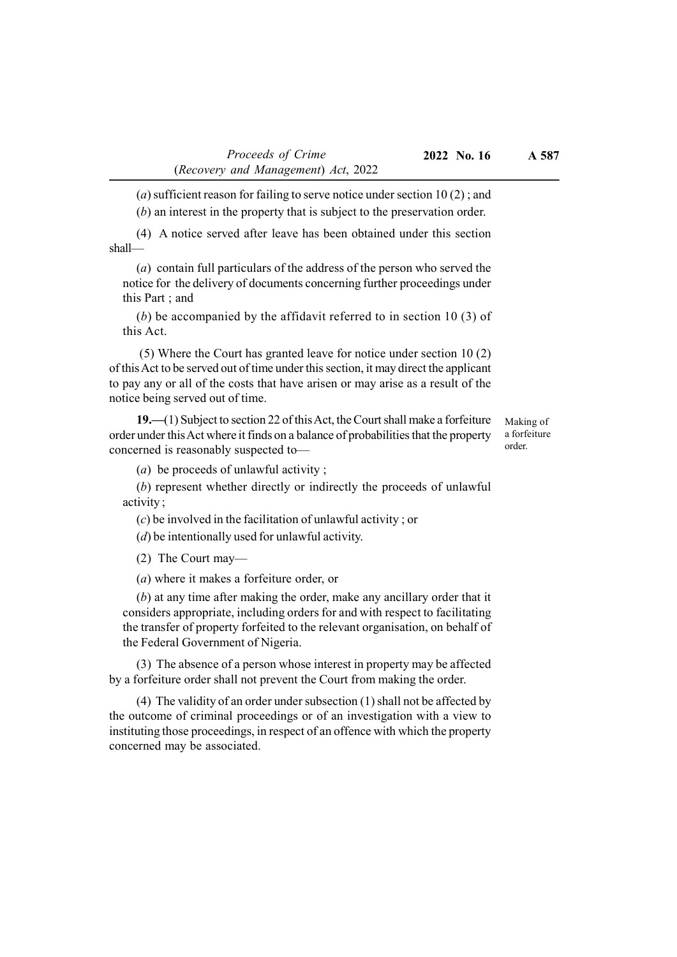(a) sufficient reason for failing to serve notice under section  $10(2)$ ; and

(b) an interest in the property that is subject to the preservation order.

(4) A notice served after leave has been obtained under this section shall—

(a) contain full particulars of the address of the person who served the notice for the delivery of documents concerning further proceedings under this Part ; and

(b) be accompanied by the affidavit referred to in section 10 (3) of this Act.

 (5) Where the Court has granted leave for notice under section 10 (2) of this Act to be served out of time under this section, it may direct the applicant to pay any or all of the costs that have arisen or may arise as a result of the notice being served out of time.

19.—(1) Subject to section 22 of this Act, the Court shall make a forfeiture order under this Act where it finds on a balance of probabilities that the property concerned is reasonably suspected to—

Making of a forfeiture order.

(a) be proceeds of unlawful activity ;

(b) represent whether directly or indirectly the proceeds of unlawful activity ;

(c) be involved in the facilitation of unlawful activity ; or

 $(d)$  be intentionally used for unlawful activity.

(2) The Court may—

(a) where it makes a forfeiture order, or

(b) at any time after making the order, make any ancillary order that it considers appropriate, including orders for and with respect to facilitating the transfer of property forfeited to the relevant organisation, on behalf of the Federal Government of Nigeria.

(3) The absence of a person whose interest in property may be affected by a forfeiture order shall not prevent the Court from making the order.

(4) The validity of an order under subsection (1) shall not be affected by the outcome of criminal proceedings or of an investigation with a view to instituting those proceedings, in respect of an offence with which the property concerned may be associated.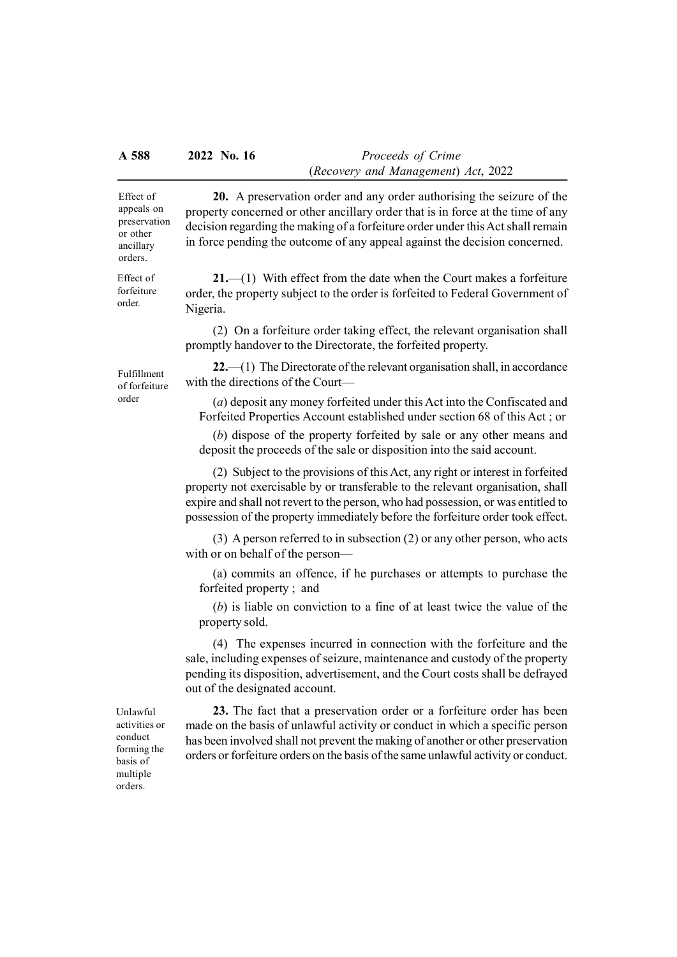| A 588 | 2022 No. 16 | Proceeds of Crime                   |
|-------|-------------|-------------------------------------|
|       |             | (Recovery and Management) Act, 2022 |

Effect of appeals on preservation or other ancillary orders.

Effect of forfeiture order.

20. A preservation order and any order authorising the seizure of the property concerned or other ancillary order that is in force at the time of any decision regarding the making of a forfeiture order under this Act shall remain in force pending the outcome of any appeal against the decision concerned.

21.—(1) With effect from the date when the Court makes a forfeiture order, the property subject to the order is forfeited to Federal Government of Nigeria.

(2) On a forfeiture order taking effect, the relevant organisation shall promptly handover to the Directorate, the forfeited property.

22.—(1) The Directorate of the relevant organisation shall, in accordance with the directions of the Court—

(a) deposit any money forfeited under this Act into the Confiscated and Forfeited Properties Account established under section 68 of this Act ; or

(b) dispose of the property forfeited by sale or any other means and deposit the proceeds of the sale or disposition into the said account.

(2) Subject to the provisions of this Act, any right or interest in forfeited property not exercisable by or transferable to the relevant organisation, shall expire and shall not revert to the person, who had possession, or was entitled to possession of the property immediately before the forfeiture order took effect.

(3) A person referred to in subsection (2) or any other person, who acts with or on behalf of the person—

(a) commits an offence, if he purchases or attempts to purchase the forfeited property ; and

(b) is liable on conviction to a fine of at least twice the value of the property sold.

(4) The expenses incurred in connection with the forfeiture and the sale, including expenses of seizure, maintenance and custody of the property pending its disposition, advertisement, and the Court costs shall be defrayed out of the designated account.

23. The fact that a preservation order or a forfeiture order has been made on the basis of unlawful activity or conduct in which a specific person has been involved shall not prevent the making of another or other preservation orders or forfeiture orders on the basis of the same unlawful activity or conduct.

Fulfillment of forfeiture order

Unlawful activities or conduct forming the basis of multiple orders.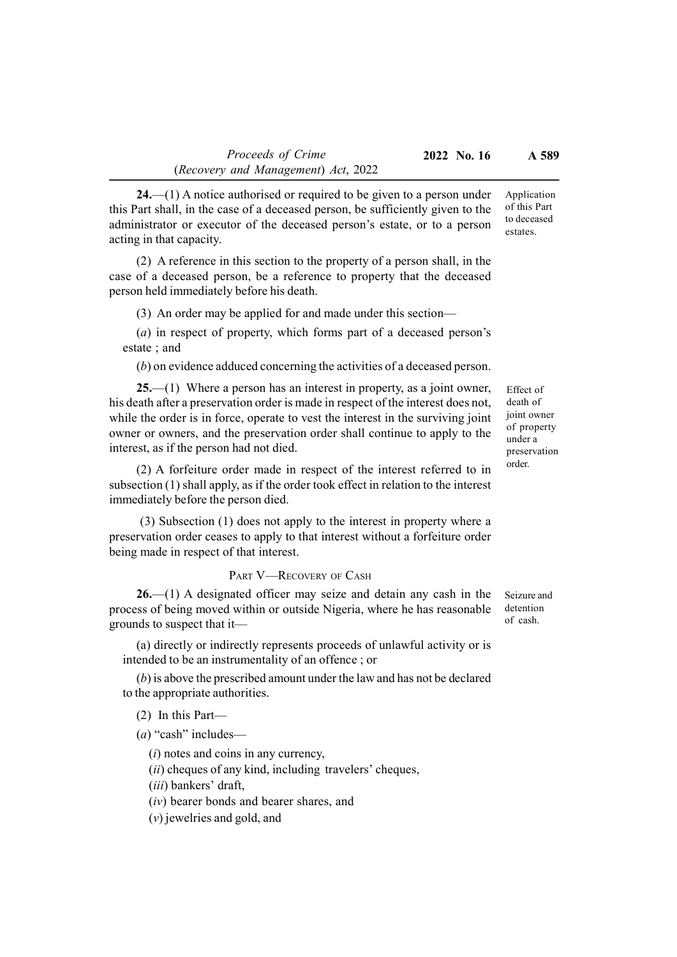$24$ ,  $-$ (1) A notice authorised or required to be given to a person under this Part shall, in the case of a deceased person, be sufficiently given to the administrator or executor of the deceased person's estate, or to a person acting in that capacity.

(2) A reference in this section to the property of a person shall, in the case of a deceased person, be a reference to property that the deceased person held immediately before his death.

(3) An order may be applied for and made under this section—

(a) in respect of property, which forms part of a deceased person's estate ; and

(b) on evidence adduced concerning the activities of a deceased person.

 $25.$ —(1) Where a person has an interest in property, as a joint owner, his death after a preservation order is made in respect of the interest does not, while the order is in force, operate to vest the interest in the surviving joint owner or owners, and the preservation order shall continue to apply to the interest, as if the person had not died.

(2) A forfeiture order made in respect of the interest referred to in subsection (1) shall apply, as if the order took effect in relation to the interest immediately before the person died.

 (3) Subsection (1) does not apply to the interest in property where a preservation order ceases to apply to that interest without a forfeiture order being made in respect of that interest.

#### PART V-RECOVERY OF CASH

26.—(1) A designated officer may seize and detain any cash in the process of being moved within or outside Nigeria, where he has reasonable grounds to suspect that it—

(a) directly or indirectly represents proceeds of unlawful activity or is intended to be an instrumentality of an offence ; or

(b) is above the prescribed amount under the law and has not be declared to the appropriate authorities.

(2) In this Part—

 $(a)$  "cash" includes—

(i) notes and coins in any currency,

 $(ii)$  cheques of any kind, including travelers' cheques,

(iii) bankers' draft,

(iv) bearer bonds and bearer shares, and

(v) jewelries and gold, and

Effect of death of joint owner of property under a preservation order.

Seizure and detention of cash.

Application of this Part to deceased estates.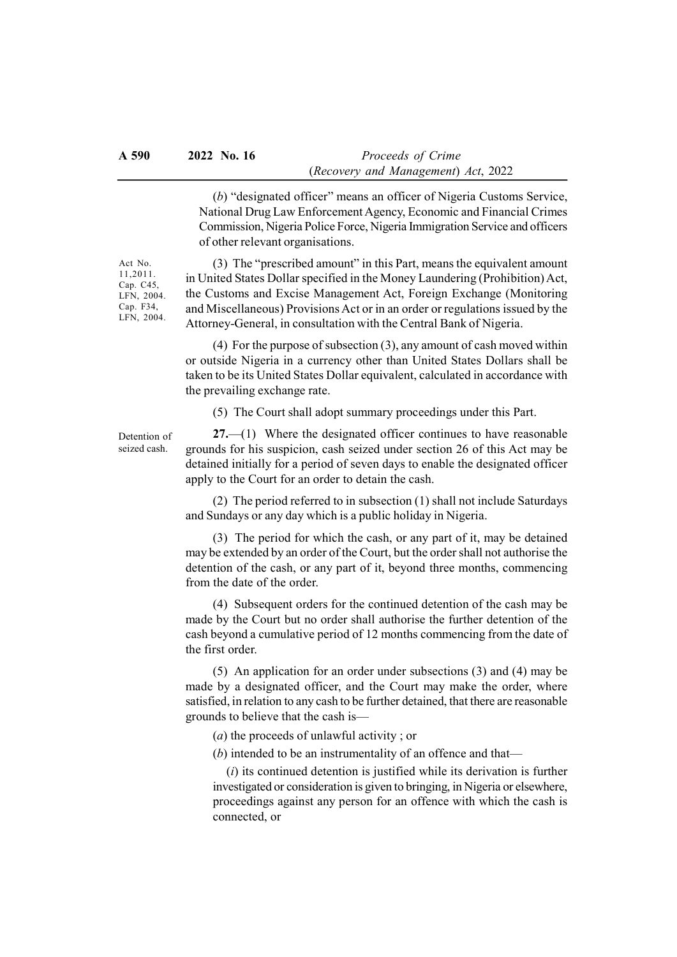(b) "designated officer" means an officer of Nigeria Customs Service, National Drug Law Enforcement Agency, Economic and Financial Crimes Commission, Nigeria Police Force, Nigeria Immigration Service and officers of other relevant organisations.

Act No. 11,2011. Cap. C45, LFN, 2004. Cap. F34, LFN, 2004.

(3) The "prescribed amount" in this Part, means the equivalent amount in United States Dollar specified in the Money Laundering (Prohibition) Act, the Customs and Excise Management Act, Foreign Exchange (Monitoring and Miscellaneous) Provisions Act or in an order or regulations issued by the Attorney-General, in consultation with the Central Bank of Nigeria.

(4) For the purpose of subsection (3), any amount of cash moved within or outside Nigeria in a currency other than United States Dollars shall be taken to be its United States Dollar equivalent, calculated in accordance with the prevailing exchange rate.

(5) The Court shall adopt summary proceedings under this Part.

Detention of seized cash.

27.—(1) Where the designated officer continues to have reasonable grounds for his suspicion, cash seized under section 26 of this Act may be detained initially for a period of seven days to enable the designated officer apply to the Court for an order to detain the cash.

(2) The period referred to in subsection (1) shall not include Saturdays and Sundays or any day which is a public holiday in Nigeria.

(3) The period for which the cash, or any part of it, may be detained may be extended by an order of the Court, but the order shall not authorise the detention of the cash, or any part of it, beyond three months, commencing from the date of the order.

(4) Subsequent orders for the continued detention of the cash may be made by the Court but no order shall authorise the further detention of the cash beyond a cumulative period of 12 months commencing from the date of the first order.

(5) An application for an order under subsections (3) and (4) may be made by a designated officer, and the Court may make the order, where satisfied, in relation to any cash to be further detained, that there are reasonable grounds to believe that the cash is—

(a) the proceeds of unlawful activity ; or

(b) intended to be an instrumentality of an offence and that—

 $(i)$  its continued detention is justified while its derivation is further investigated or consideration is given to bringing, in Nigeria or elsewhere, proceedings against any person for an offence with which the cash is connected, or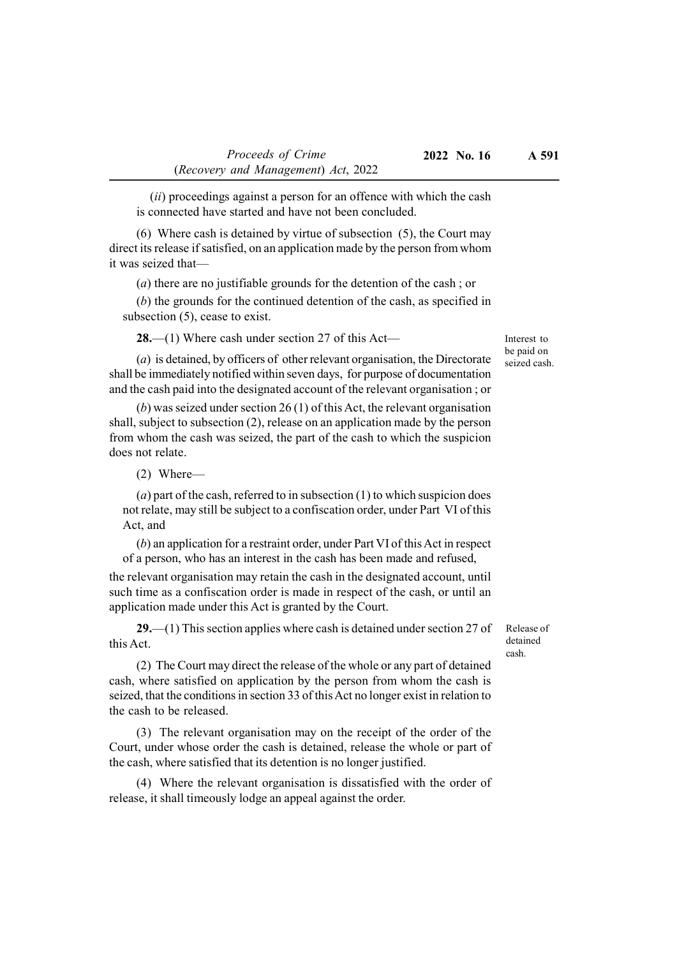(*ii*) proceedings against a person for an offence with which the cash is connected have started and have not been concluded.

(6) Where cash is detained by virtue of subsection (5), the Court may direct its release if satisfied, on an application made by the person from whom it was seized that—

(a) there are no justifiable grounds for the detention of the cash ; or

(b) the grounds for the continued detention of the cash, as specified in subsection (5), cease to exist.

28.—(1) Where cash under section 27 of this Act—

(a) is detained, by officers of other relevant organisation, the Directorate shall be immediately notified within seven days, for purpose of documentation and the cash paid into the designated account of the relevant organisation ; or

(b) was seized under section 26 (1) of this Act, the relevant organisation shall, subject to subsection (2), release on an application made by the person from whom the cash was seized, the part of the cash to which the suspicion does not relate.

(2) Where—

(a) part of the cash, referred to in subsection  $(1)$  to which suspicion does not relate, may still be subject to a confiscation order, under Part VI of this Act, and

(b) an application for a restraint order, under Part VI of this Act in respect of a person, who has an interest in the cash has been made and refused,

the relevant organisation may retain the cash in the designated account, until such time as a confiscation order is made in respect of the cash, or until an application made under this Act is granted by the Court.

29.—(1) This section applies where cash is detained under section 27 of this Act.

(2) The Court may direct the release of the whole or any part of detained cash, where satisfied on application by the person from whom the cash is seized, that the conditions in section 33 of this Act no longer exist in relation to the cash to be released.

(3) The relevant organisation may on the receipt of the order of the Court, under whose order the cash is detained, release the whole or part of the cash, where satisfied that its detention is no longer justified.

(4) Where the relevant organisation is dissatisfied with the order of release, it shall timeously lodge an appeal against the order.

Release of detained cash.

Interest to be paid on seized cash.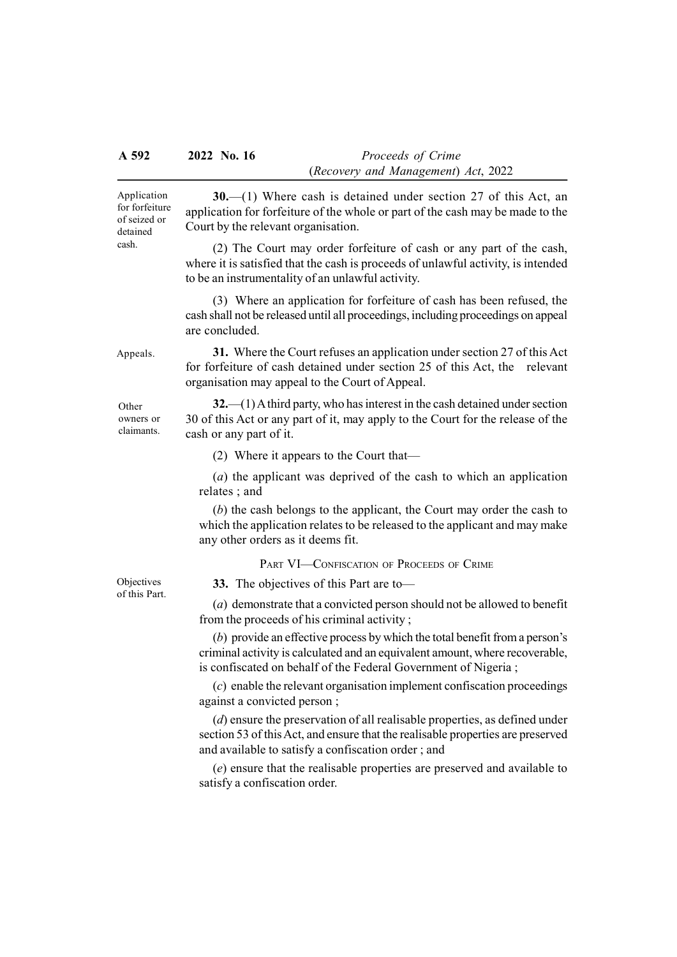| A 592 | 2022 No. 16 | Proceeds of Crime                   |
|-------|-------------|-------------------------------------|
|       |             | (Recovery and Management) Act, 2022 |

Application for forfeiture of seized or detained cash.

Appeals.

Other owners or claimants.

30.—(1) Where cash is detained under section 27 of this Act, an application for forfeiture of the whole or part of the cash may be made to the Court by the relevant organisation.

(2) The Court may order forfeiture of cash or any part of the cash, where it is satisfied that the cash is proceeds of unlawful activity, is intended to be an instrumentality of an unlawful activity.

(3) Where an application for forfeiture of cash has been refused, the cash shall not be released until all proceedings, including proceedings on appeal are concluded.

31. Where the Court refuses an application under section 27 of this Act for forfeiture of cash detained under section 25 of this Act, the relevant organisation may appeal to the Court of Appeal.

32.—(1) A third party, who has interest in the cash detained under section 30 of this Act or any part of it, may apply to the Court for the release of the cash or any part of it.

(2) Where it appears to the Court that—

(a) the applicant was deprived of the cash to which an application relates ; and

(b) the cash belongs to the applicant, the Court may order the cash to which the application relates to be released to the applicant and may make any other orders as it deems fit.

PART VI-CONFISCATION OF PROCEEDS OF CRIME

of this Part.

Objectives 33. The objectives of this Part are to-

(a) demonstrate that a convicted person should not be allowed to benefit from the proceeds of his criminal activity ;

(b) provide an effective process by which the total benefit from a person's criminal activity is calculated and an equivalent amount, where recoverable, is confiscated on behalf of the Federal Government of Nigeria ;

(c) enable the relevant organisation implement confiscation proceedings against a convicted person ;

(d) ensure the preservation of all realisable properties, as defined under section 53 of this Act, and ensure that the realisable properties are preserved and available to satisfy a confiscation order ; and

(e) ensure that the realisable properties are preserved and available to satisfy a confiscation order.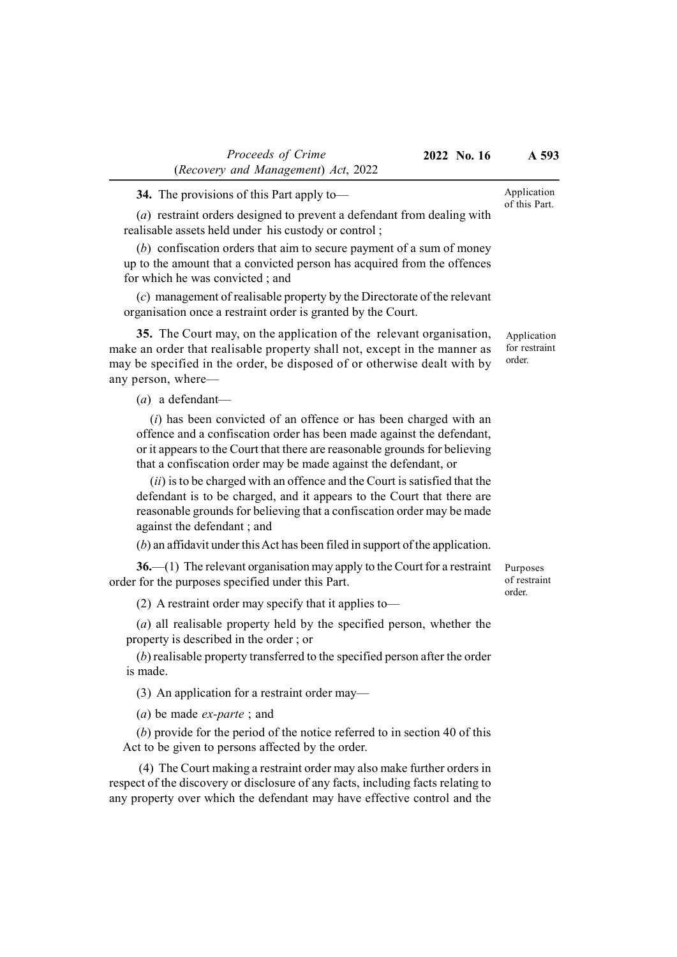34. The provisions of this Part apply to—

(a) restraint orders designed to prevent a defendant from dealing with realisable assets held under his custody or control ;

(b) confiscation orders that aim to secure payment of a sum of money up to the amount that a convicted person has acquired from the offences for which he was convicted ; and

(c) management of realisable property by the Directorate of the relevant organisation once a restraint order is granted by the Court.

35. The Court may, on the application of the relevant organisation, make an order that realisable property shall not, except in the manner as may be specified in the order, be disposed of or otherwise dealt with by any person, where—

(a) a defendant—

 $(i)$  has been convicted of an offence or has been charged with an offence and a confiscation order has been made against the defendant, or it appears to the Court that there are reasonable grounds for believing that a confiscation order may be made against the defendant, or

 $(ii)$  is to be charged with an offence and the Court is satisfied that the defendant is to be charged, and it appears to the Court that there are reasonable grounds for believing that a confiscation order may be made against the defendant ; and

(b) an affidavit under this Act has been filed in support of the application.

36.—(1) The relevant organisation may apply to the Court for a restraint order for the purposes specified under this Part.

(2) A restraint order may specify that it applies to—

(a) all realisable property held by the specified person, whether the property is described in the order ; or

(b) realisable property transferred to the specified person after the order is made.

(3) An application for a restraint order may—

(a) be made ex-parte ; and

(b) provide for the period of the notice referred to in section 40 of this Act to be given to persons affected by the order.

 (4) The Court making a restraint order may also make further orders in respect of the discovery or disclosure of any facts, including facts relating to any property over which the defendant may have effective control and the

Purposes of restraint order.

Application for restraint order.

Application

of this Part.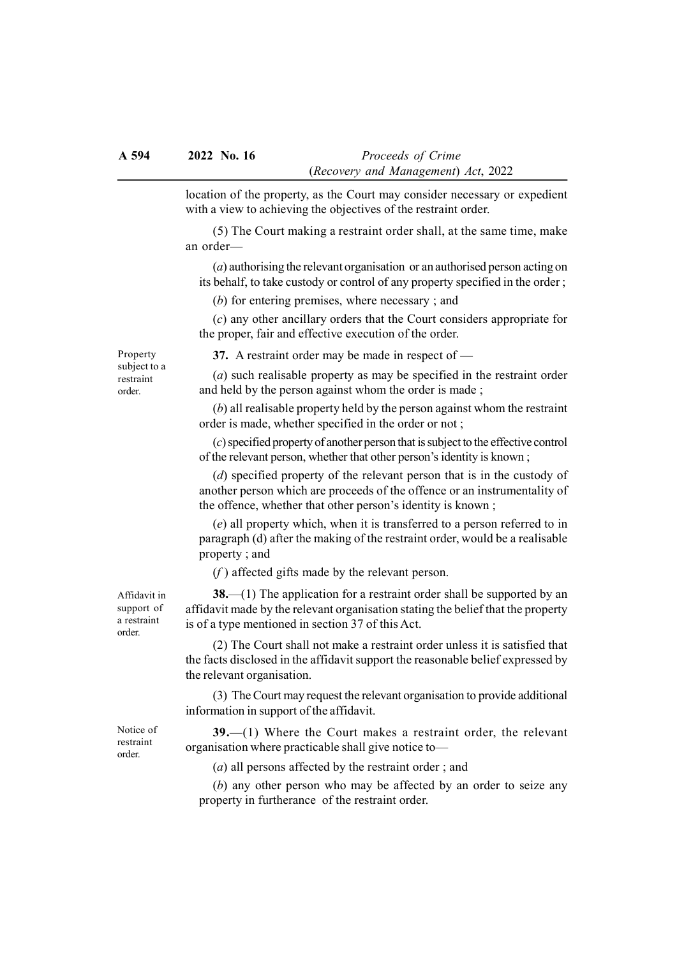location of the property, as the Court may consider necessary or expedient with a view to achieving the objectives of the restraint order.

(5) The Court making a restraint order shall, at the same time, make an order—

(a) authorising the relevant organisation or an authorised person acting on its behalf, to take custody or control of any property specified in the order ;

(b) for entering premises, where necessary ; and

(c) any other ancillary orders that the Court considers appropriate for the proper, fair and effective execution of the order.

subject to a

Property **37.** A restraint order may be made in respect of  $-$ 

(a) such realisable property as may be specified in the restraint order restraint order. and held by the person against whom the order is made;

> (b) all realisable property held by the person against whom the restraint order is made, whether specified in the order or not ;

> (c) specified property of another person that is subject to the effective control of the relevant person, whether that other person's identity is known ;

> (d) specified property of the relevant person that is in the custody of another person which are proceeds of the offence or an instrumentality of the offence, whether that other person's identity is known ;

> (e) all property which, when it is transferred to a person referred to in paragraph (d) after the making of the restraint order, would be a realisable property ; and

 $(f)$  affected gifts made by the relevant person.

 $38$ —(1) The application for a restraint order shall be supported by an affidavit made by the relevant organisation stating the belief that the property is of a type mentioned in section 37 of this Act.

(2) The Court shall not make a restraint order unless it is satisfied that the facts disclosed in the affidavit support the reasonable belief expressed by the relevant organisation.

(3) The Court may request the relevant organisation to provide additional information in support of the affidavit.

39.—(1) Where the Court makes a restraint order, the relevant organisation where practicable shall give notice to—

(a) all persons affected by the restraint order ; and

(b) any other person who may be affected by an order to seize any property in furtherance of the restraint order.

Affidavit in support of a restraint order.

Notice of restraint order.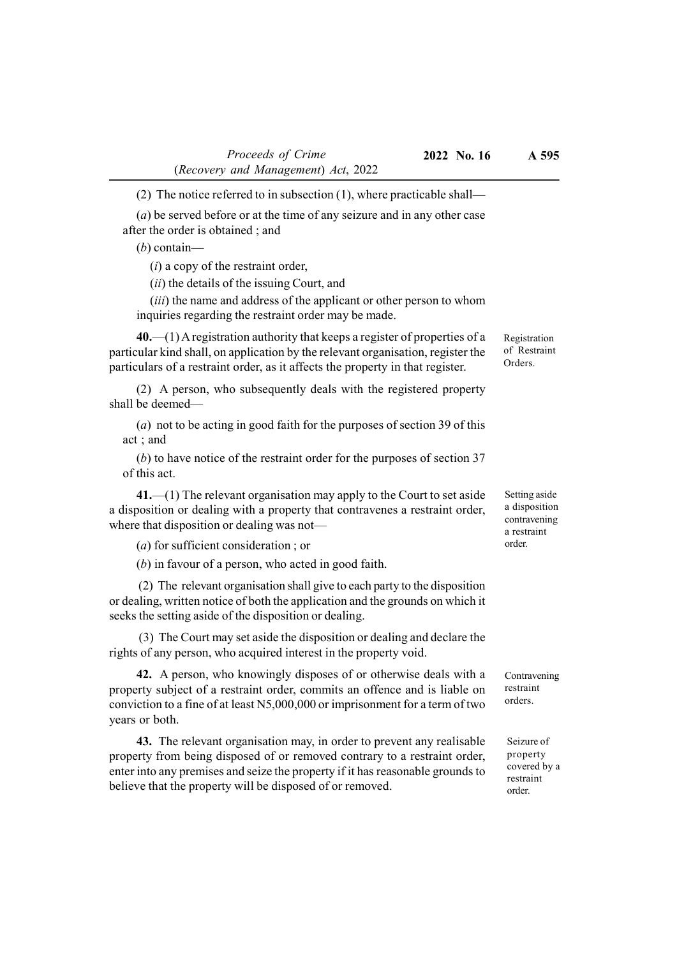(2) The notice referred to in subsection (1), where practicable shall—

(a) be served before or at the time of any seizure and in any other case after the order is obtained ; and

 $(b)$  contain—

 $(i)$  a copy of the restraint order,

(*ii*) the details of the issuing Court, and

(*iii*) the name and address of the applicant or other person to whom inquiries regarding the restraint order may be made.

40.—(1) A registration authority that keeps a register of properties of a particular kind shall, on application by the relevant organisation, register the particulars of a restraint order, as it affects the property in that register.

(2) A person, who subsequently deals with the registered property shall be deemed—

(a) not to be acting in good faith for the purposes of section 39 of this act ; and

(b) to have notice of the restraint order for the purposes of section 37 of this act.

41.—(1) The relevant organisation may apply to the Court to set aside a disposition or dealing with a property that contravenes a restraint order, where that disposition or dealing was not—

(a) for sufficient consideration ; or

(b) in favour of a person, who acted in good faith.

 (2) The relevant organisation shall give to each party to the disposition or dealing, written notice of both the application and the grounds on which it seeks the setting aside of the disposition or dealing.

 (3) The Court may set aside the disposition or dealing and declare the rights of any person, who acquired interest in the property void.

42. A person, who knowingly disposes of or otherwise deals with a property subject of a restraint order, commits an offence and is liable on conviction to a fine of at least N5,000,000 or imprisonment for a term of two years or both.

43. The relevant organisation may, in order to prevent any realisable property from being disposed of or removed contrary to a restraint order, enter into any premises and seize the property if it has reasonable grounds to believe that the property will be disposed of or removed.

Registration of Restraint Orders.

Setting aside a disposition contravening a restraint order.

Contravening restraint orders.

Seizure of property covered by a restraint order.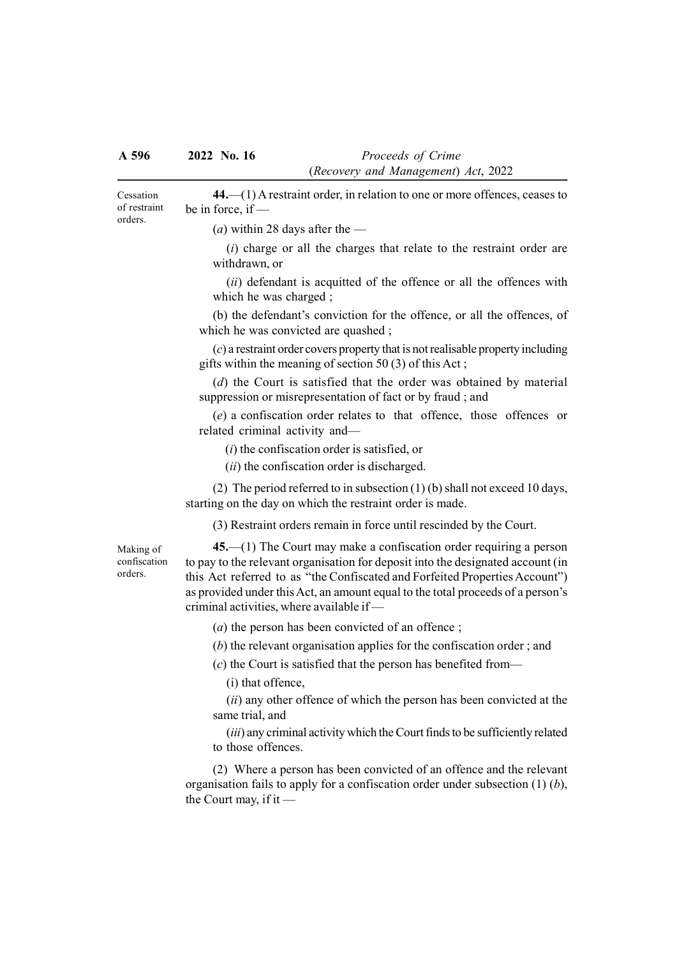Cessation of restraint orders.

44.—(1) A restraint order, in relation to one or more offences, ceases to be in force, if —

(*a*) within 28 days after the  $-$ 

(i) charge or all the charges that relate to the restraint order are withdrawn, or

(ii) defendant is acquitted of the offence or all the offences with which he was charged :

(b) the defendant's conviction for the offence, or all the offences, of which he was convicted are quashed :

(c) a restraint order covers property that is not realisable property including gifts within the meaning of section 50 (3) of this Act ;

(d) the Court is satisfied that the order was obtained by material suppression or misrepresentation of fact or by fraud ; and

(e) a confiscation order relates to that offence, those offences or related criminal activity and—

 $(i)$  the confiscation order is satisfied, or

 $(ii)$  the confiscation order is discharged.

(2) The period referred to in subsection  $(1)$  (b) shall not exceed 10 days, starting on the day on which the restraint order is made.

(3) Restraint orders remain in force until rescinded by the Court.

Making of confiscation orders.

45.—(1) The Court may make a confiscation order requiring a person to pay to the relevant organisation for deposit into the designated account (in this Act referred to as "the Confiscated and Forfeited Properties Account") as provided under this Act, an amount equal to the total proceeds of a person's criminal activities, where available if —

(*a*) the person has been convicted of an offence;

(b) the relevant organisation applies for the confiscation order ; and

 $(c)$  the Court is satisfied that the person has benefited from—

(i) that offence,

(ii) any other offence of which the person has been convicted at the same trial, and

(iii) any criminal activity which the Court finds to be sufficiently related to those offences.

(2) Where a person has been convicted of an offence and the relevant organisation fails to apply for a confiscation order under subsection  $(1)$   $(b)$ , the Court may, if it —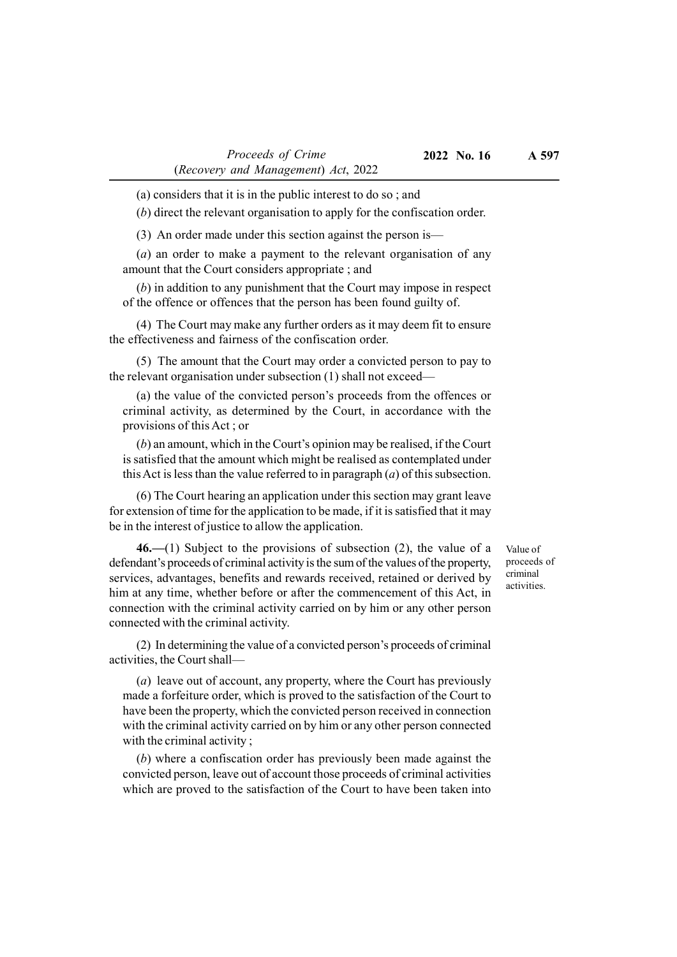(a) considers that it is in the public interest to do so ; and

(b) direct the relevant organisation to apply for the confiscation order.

(3) An order made under this section against the person is—

(a) an order to make a payment to the relevant organisation of any amount that the Court considers appropriate ; and

(b) in addition to any punishment that the Court may impose in respect of the offence or offences that the person has been found guilty of.

(4) The Court may make any further orders as it may deem fit to ensure the effectiveness and fairness of the confiscation order.

(5) The amount that the Court may order a convicted person to pay to the relevant organisation under subsection (1) shall not exceed—

(a) the value of the convicted person's proceeds from the offences or criminal activity, as determined by the Court, in accordance with the provisions of this Act ; or

(b) an amount, which in the Court's opinion may be realised, if the Court is satisfied that the amount which might be realised as contemplated under this Act is less than the value referred to in paragraph  $(a)$  of this subsection.

(6) The Court hearing an application under this section may grant leave for extension of time for the application to be made, if it is satisfied that it may be in the interest of justice to allow the application.

46.—(1) Subject to the provisions of subsection  $(2)$ , the value of a defendant's proceeds of criminal activity is the sum of the values of the property, services, advantages, benefits and rewards received, retained or derived by him at any time, whether before or after the commencement of this Act, in connection with the criminal activity carried on by him or any other person connected with the criminal activity.

(2) In determining the value of a convicted person's proceeds of criminal activities, the Court shall—

(a) leave out of account, any property, where the Court has previously made a forfeiture order, which is proved to the satisfaction of the Court to have been the property, which the convicted person received in connection with the criminal activity carried on by him or any other person connected with the criminal activity ;

(b) where a confiscation order has previously been made against the convicted person, leave out of account those proceeds of criminal activities which are proved to the satisfaction of the Court to have been taken into Value of proceeds of criminal activities.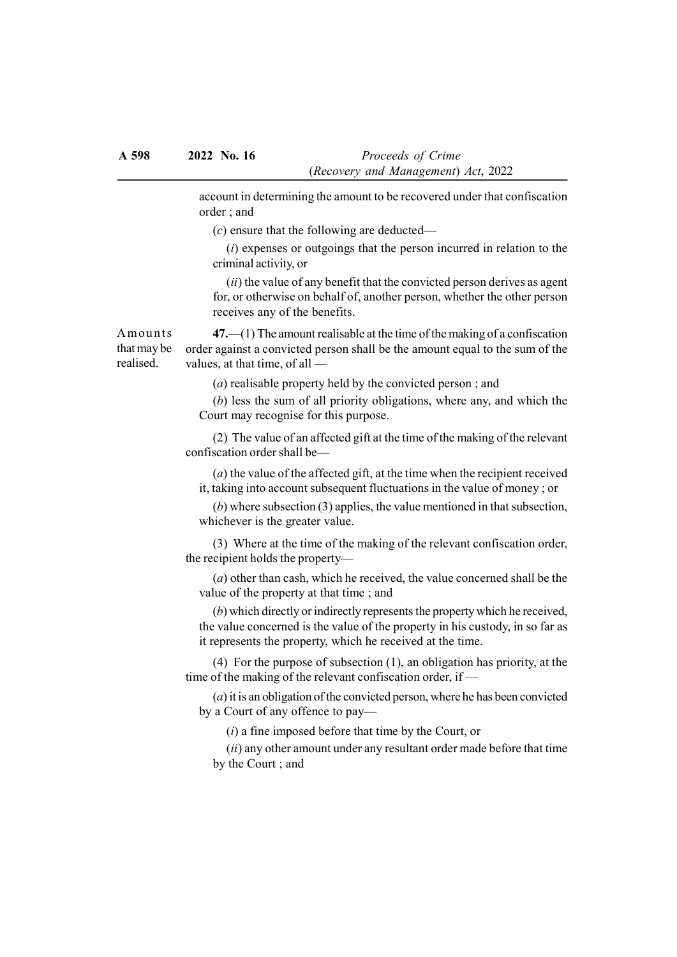account in determining the amount to be recovered under that confiscation order ; and

(c) ensure that the following are deducted—

 $(i)$  expenses or outgoings that the person incurred in relation to the criminal activity, or

 $(ii)$  the value of any benefit that the convicted person derives as agent for, or otherwise on behalf of, another person, whether the other person receives any of the benefits.

47.—(1) The amount realisable at the time of the making of a confiscation order against a convicted person shall be the amount equal to the sum of the values, at that time, of all —

(a) realisable property held by the convicted person ; and

(b) less the sum of all priority obligations, where any, and which the Court may recognise for this purpose.

(2) The value of an affected gift at the time of the making of the relevant confiscation order shall be—

(a) the value of the affected gift, at the time when the recipient received it, taking into account subsequent fluctuations in the value of money ; or

 $(b)$  where subsection  $(3)$  applies, the value mentioned in that subsection, whichever is the greater value.

(3) Where at the time of the making of the relevant confiscation order, the recipient holds the property—

(a) other than cash, which he received, the value concerned shall be the value of the property at that time ; and

(b) which directly or indirectly represents the property which he received, the value concerned is the value of the property in his custody, in so far as it represents the property, which he received at the time.

(4) For the purpose of subsection (1), an obligation has priority, at the time of the making of the relevant confiscation order, if —

(a) it is an obligation of the convicted person, where he has been convicted by a Court of any offence to pay—

 $(i)$  a fine imposed before that time by the Court, or

(ii) any other amount under any resultant order made before that time by the Court ; and

Amoun ts that may be realised.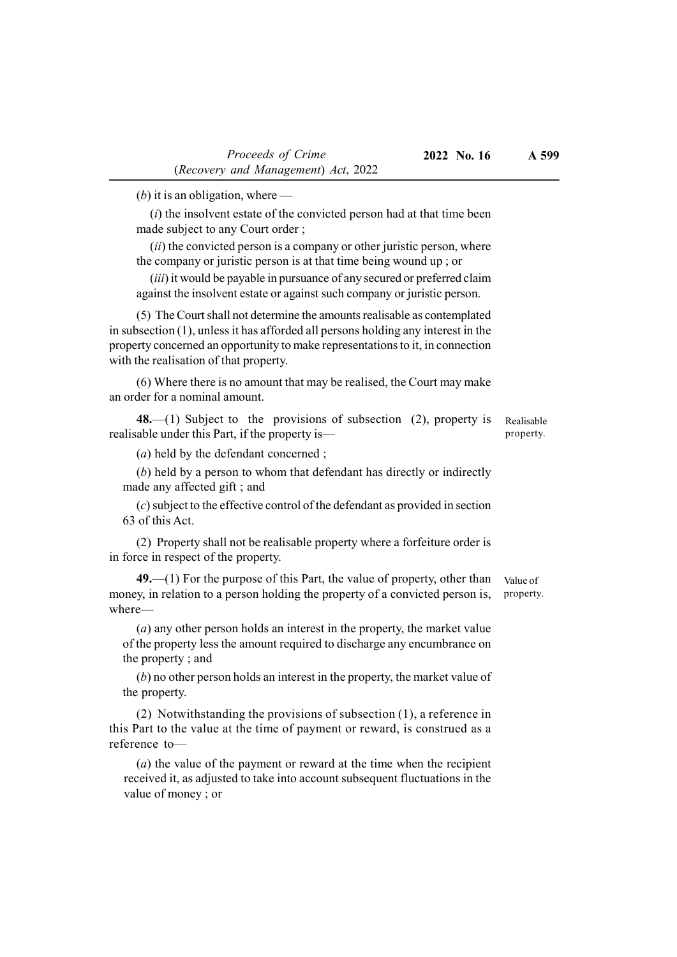(b) it is an obligation, where  $-$ 

 $(i)$  the insolvent estate of the convicted person had at that time been made subject to any Court order ;

 $(ii)$  the convicted person is a company or other juristic person, where the company or juristic person is at that time being wound up ; or

(iii) it would be payable in pursuance of any secured or preferred claim against the insolvent estate or against such company or juristic person.

(5) The Court shall not determine the amounts realisable as contemplated in subsection (1), unless it has afforded all persons holding any interest in the property concerned an opportunity to make representations to it, in connection with the realisation of that property.

(6) Where there is no amount that may be realised, the Court may make an order for a nominal amount.

48.—(1) Subject to the provisions of subsection (2), property is realisable under this Part, if the property is—

(a) held by the defendant concerned ;

(b) held by a person to whom that defendant has directly or indirectly made any affected gift ; and

(c) subject to the effective control of the defendant as provided in section 63 of this Act.

(2) Property shall not be realisable property where a forfeiture order is in force in respect of the property.

49.—(1) For the purpose of this Part, the value of property, other than money, in relation to a person holding the property of a convicted person is, where—

(a) any other person holds an interest in the property, the market value of the property less the amount required to discharge any encumbrance on the property ; and

(b) no other person holds an interest in the property, the market value of the property.

(2) Notwithstanding the provisions of subsection (1), a reference in this Part to the value at the time of payment or reward, is construed as a reference to—

(a) the value of the payment or reward at the time when the recipient received it, as adjusted to take into account subsequent fluctuations in the value of money ; or

Value of property.

Realisable property.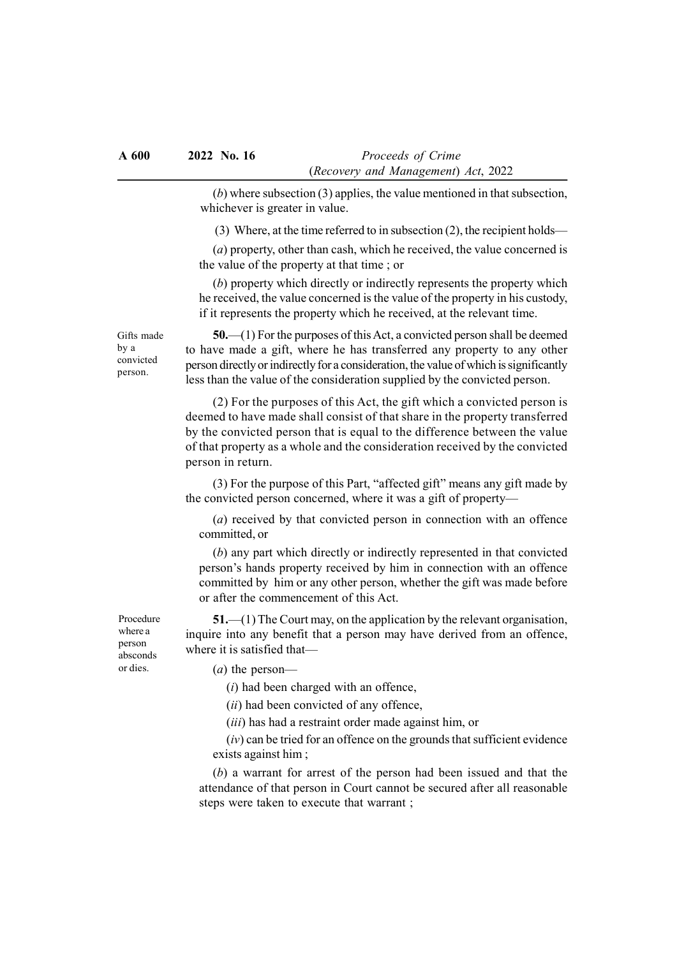(b) where subsection (3) applies, the value mentioned in that subsection, whichever is greater in value.

(3) Where, at the time referred to in subsection (2), the recipient holds—

(a) property, other than cash, which he received, the value concerned is the value of the property at that time ; or

(b) property which directly or indirectly represents the property which he received, the value concerned is the value of the property in his custody, if it represents the property which he received, at the relevant time.

Gifts made by a convicted person.

50.—(1) For the purposes of this Act, a convicted person shall be deemed to have made a gift, where he has transferred any property to any other person directly or indirectly for a consideration, the value of which is significantly less than the value of the consideration supplied by the convicted person.

(2) For the purposes of this Act, the gift which a convicted person is deemed to have made shall consist of that share in the property transferred by the convicted person that is equal to the difference between the value of that property as a whole and the consideration received by the convicted person in return.

(3) For the purpose of this Part, "affected gift" means any gift made by the convicted person concerned, where it was a gift of property—

(a) received by that convicted person in connection with an offence committed, or

(b) any part which directly or indirectly represented in that convicted person's hands property received by him in connection with an offence committed by him or any other person, whether the gift was made before or after the commencement of this Act.

Procedure 51.—(1) The Court may, on the application by the relevant organisation, where a inquire into any benefit that a person may have derived from an offence, person<br>where it is satisfied that absconds where it is satisfied the

(a) the person—

(i) had been charged with an offence,

(*ii*) had been convicted of any offence,

(iii) has had a restraint order made against him, or

 $(iv)$  can be tried for an offence on the grounds that sufficient evidence exists against him ;

(b) a warrant for arrest of the person had been issued and that the attendance of that person in Court cannot be secured after all reasonable steps were taken to execute that warrant ;

or dies.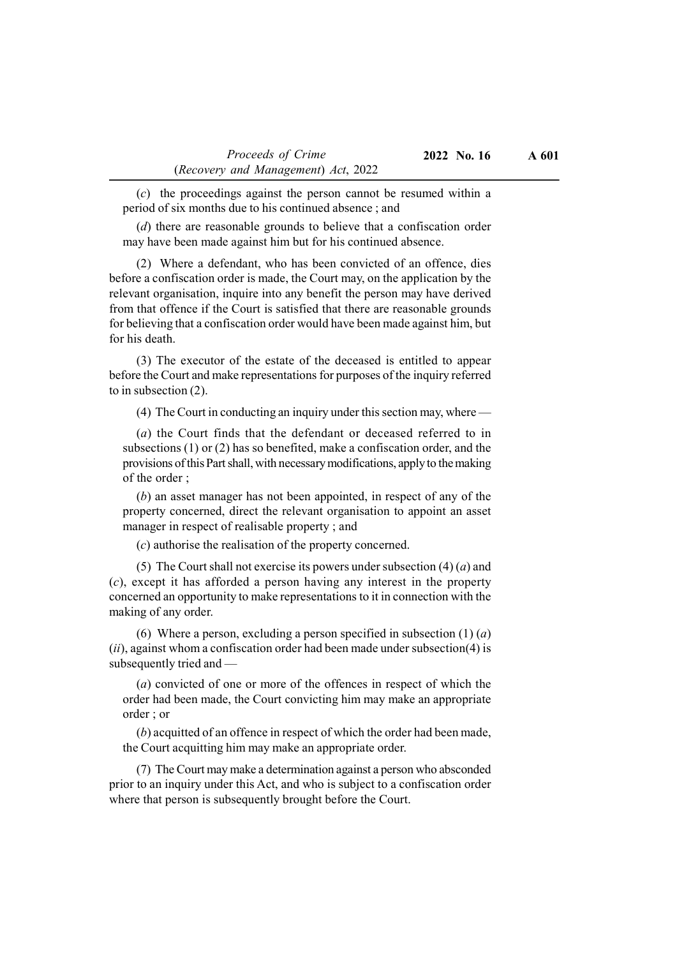(c) the proceedings against the person cannot be resumed within a period of six months due to his continued absence ; and

(d) there are reasonable grounds to believe that a confiscation order may have been made against him but for his continued absence.

(2) Where a defendant, who has been convicted of an offence, dies before a confiscation order is made, the Court may, on the application by the relevant organisation, inquire into any benefit the person may have derived from that offence if the Court is satisfied that there are reasonable grounds for believing that a confiscation order would have been made against him, but for his death.

(3) The executor of the estate of the deceased is entitled to appear before the Court and make representations for purposes of the inquiry referred to in subsection (2).

(4) The Court in conducting an inquiry under this section may, where —

(a) the Court finds that the defendant or deceased referred to in subsections (1) or (2) has so benefited, make a confiscation order, and the provisions of this Part shall, with necessary modifications, apply to the making of the order ;

(b) an asset manager has not been appointed, in respect of any of the property concerned, direct the relevant organisation to appoint an asset manager in respect of realisable property ; and

(c) authorise the realisation of the property concerned.

(5) The Court shall not exercise its powers under subsection  $(4)(a)$  and  $(c)$ , except it has afforded a person having any interest in the property concerned an opportunity to make representations to it in connection with the making of any order.

(6) Where a person, excluding a person specified in subsection  $(1)$   $(a)$  $(ii)$ , against whom a confiscation order had been made under subsection(4) is subsequently tried and —

(a) convicted of one or more of the offences in respect of which the order had been made, the Court convicting him may make an appropriate order ; or

(b) acquitted of an offence in respect of which the order had been made, the Court acquitting him may make an appropriate order.

(7) The Court may make a determination against a person who absconded prior to an inquiry under this Act, and who is subject to a confiscation order where that person is subsequently brought before the Court.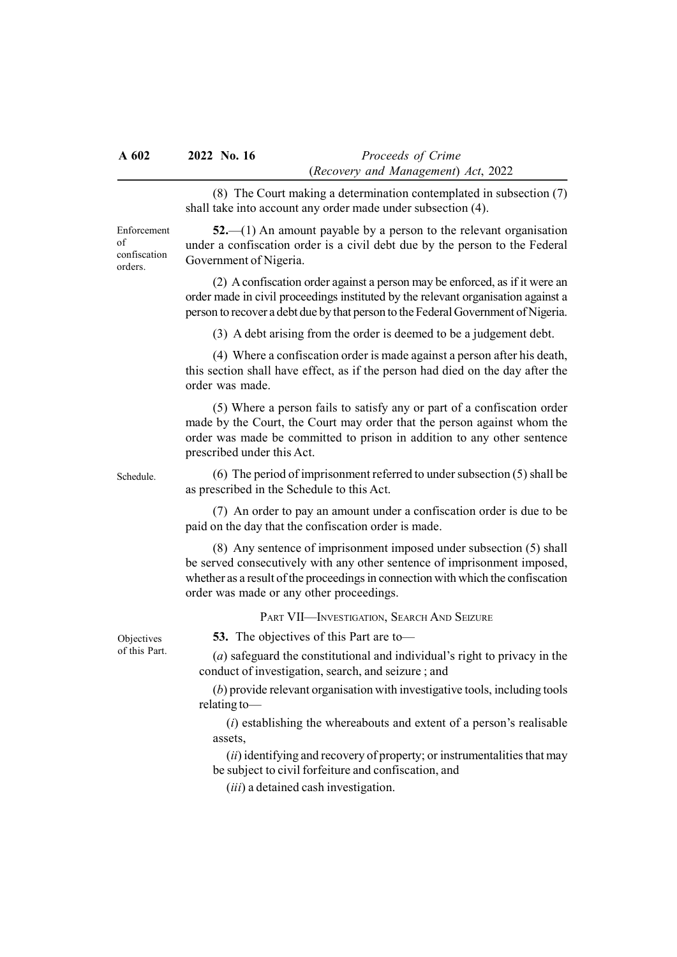#### A 602 2022 No. 16 Proceeds of Crime (Recovery and Management) Act, 2022

(8) The Court making a determination contemplated in subsection (7) shall take into account any order made under subsection (4).

Enforcement of confiscation orders.

52.—(1) An amount payable by a person to the relevant organisation under a confiscation order is a civil debt due by the person to the Federal Government of Nigeria.

(2) A confiscation order against a person may be enforced, as if it were an order made in civil proceedings instituted by the relevant organisation against a person to recover a debt due by that person to the Federal Government of Nigeria.

(3) A debt arising from the order is deemed to be a judgement debt.

(4) Where a confiscation order is made against a person after his death, this section shall have effect, as if the person had died on the day after the order was made.

(5) Where a person fails to satisfy any or part of a confiscation order made by the Court, the Court may order that the person against whom the order was made be committed to prison in addition to any other sentence prescribed under this Act.

Schedule.

(6) The period of imprisonment referred to under subsection (5) shall be as prescribed in the Schedule to this Act.

(7) An order to pay an amount under a confiscation order is due to be paid on the day that the confiscation order is made.

(8) Any sentence of imprisonment imposed under subsection (5) shall be served consecutively with any other sentence of imprisonment imposed, whether as a result of the proceedings in connection with which the confiscation order was made or any other proceedings.

PART VII—INVESTIGATION, SEARCH AND SEIZURE

53. The objectives of this Part are to—

**Objectives** of this Part.

(a) safeguard the constitutional and individual's right to privacy in the conduct of investigation, search, and seizure ; and

(b) provide relevant organisation with investigative tools, including tools relating to—

 $(i)$  establishing the whereabouts and extent of a person's realisable assets,

 $(ii)$  identifying and recovery of property; or instrumentalities that may be subject to civil forfeiture and confiscation, and

(*iii*) a detained cash investigation.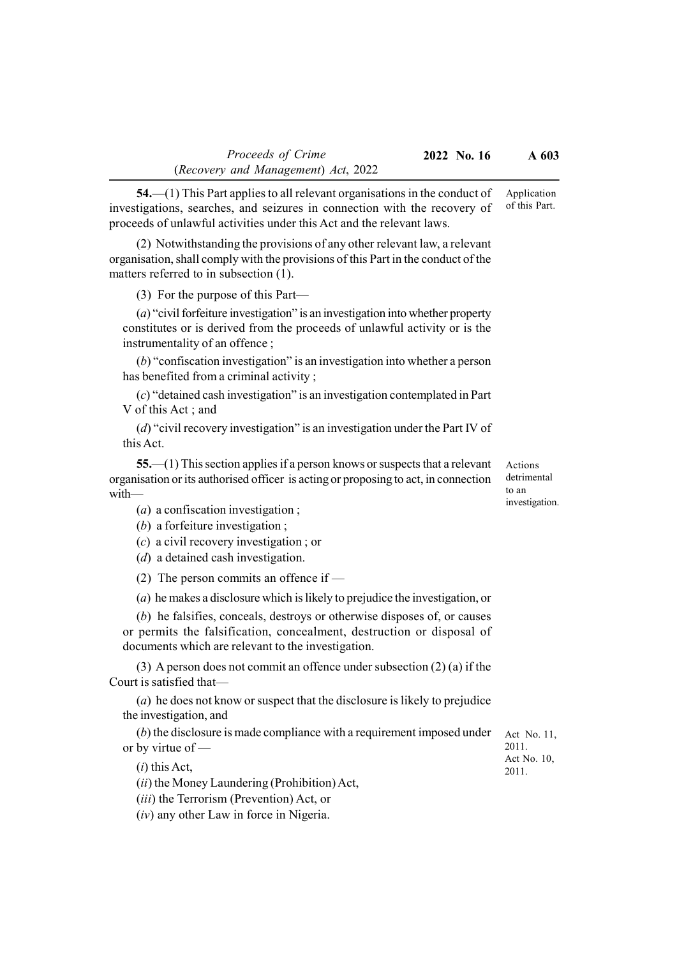54.—(1) This Part applies to all relevant organisations in the conduct of investigations, searches, and seizures in connection with the recovery of proceeds of unlawful activities under this Act and the relevant laws. Application of this Part.

(2) Notwithstanding the provisions of any other relevant law, a relevant organisation, shall comply with the provisions of this Part in the conduct of the matters referred to in subsection (1).

(3) For the purpose of this Part—

(a) "civil forfeiture investigation" is an investigation into whether property constitutes or is derived from the proceeds of unlawful activity or is the instrumentality of an offence ;

(b) "confiscation investigation" is an investigation into whether a person has benefited from a criminal activity ;

(c) "detained cash investigation" is an investigation contemplated in Part V of this Act ; and

 $(d)$  "civil recovery investigation" is an investigation under the Part IV of this Act.

55.—(1) This section applies if a person knows or suspects that a relevant organisation or its authorised officer is acting or proposing to act, in connection with—

 $(a)$  a confiscation investigation ;

(b) a forfeiture investigation;

(c) a civil recovery investigation ; or

(*d*) a detained cash investigation.

(2) The person commits an offence if  $-$ 

(a) he makes a disclosure which is likely to prejudice the investigation, or

(b) he falsifies, conceals, destroys or otherwise disposes of, or causes or permits the falsification, concealment, destruction or disposal of documents which are relevant to the investigation.

(3) A person does not commit an offence under subsection (2) (a) if the Court is satisfied that—

(a) he does not know or suspect that the disclosure is likely to prejudice the investigation, and

(b) the disclosure is made compliance with a requirement imposed under or by virtue of —

 $(i)$  this Act,

(*ii*) the Money Laundering (Prohibition) Act,

(*iii*) the Terrorism (Prevention) Act, or

 $(iv)$  any other Law in force in Nigeria.

Actions detrimental to an investigation.

Act No. 11, 2011. Act No. 10, 2011.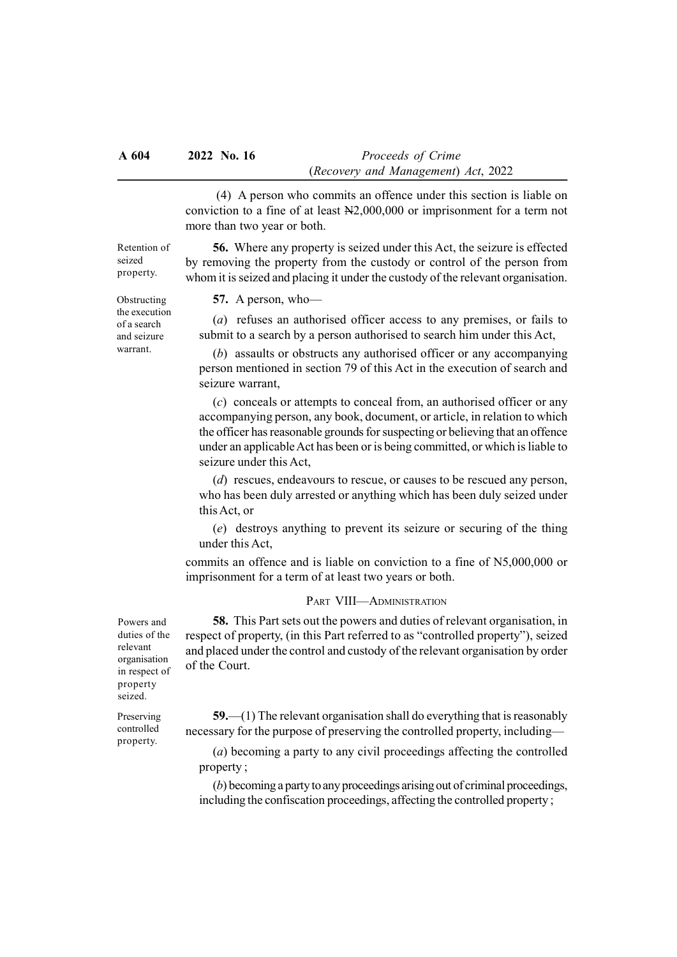(4) A person who commits an offence under this section is liable on conviction to a fine of at least N2,000,000 or imprisonment for a term not more than two year or both.

56. Where any property is seized under this Act, the seizure is effected by removing the property from the custody or control of the person from whom it is seized and placing it under the custody of the relevant organisation.

57. A person, who—

(a) refuses an authorised officer access to any premises, or fails to submit to a search by a person authorised to search him under this Act,

(b) assaults or obstructs any authorised officer or any accompanying person mentioned in section 79 of this Act in the execution of search and seizure warrant,

(c) conceals or attempts to conceal from, an authorised officer or any accompanying person, any book, document, or article, in relation to which the officer has reasonable grounds for suspecting or believing that an offence under an applicable Act has been or is being committed, or which is liable to seizure under this Act,

(d) rescues, endeavours to rescue, or causes to be rescued any person, who has been duly arrested or anything which has been duly seized under this Act, or

(e) destroys anything to prevent its seizure or securing of the thing under this Act,

commits an offence and is liable on conviction to a fine of N5,000,000 or imprisonment for a term of at least two years or both.

#### PART VIII-ADMINISTRATION

58. This Part sets out the powers and duties of relevant organisation, in respect of property, (in this Part referred to as "controlled property"), seized and placed under the control and custody of the relevant organisation by order of the Court.

59.—(1) The relevant organisation shall do everything that is reasonably necessary for the purpose of preserving the controlled property, including—

(a) becoming a party to any civil proceedings affecting the controlled property ;

(b) becoming a party to any proceedings arising out of criminal proceedings, including the confiscation proceedings, affecting the controlled property ;

Powers and duties of the relevant organisation in respect of property seized.

Preserving controlled property.

property. **Obstructing** 

Retention of seized

the execution of a search and seizure warrant.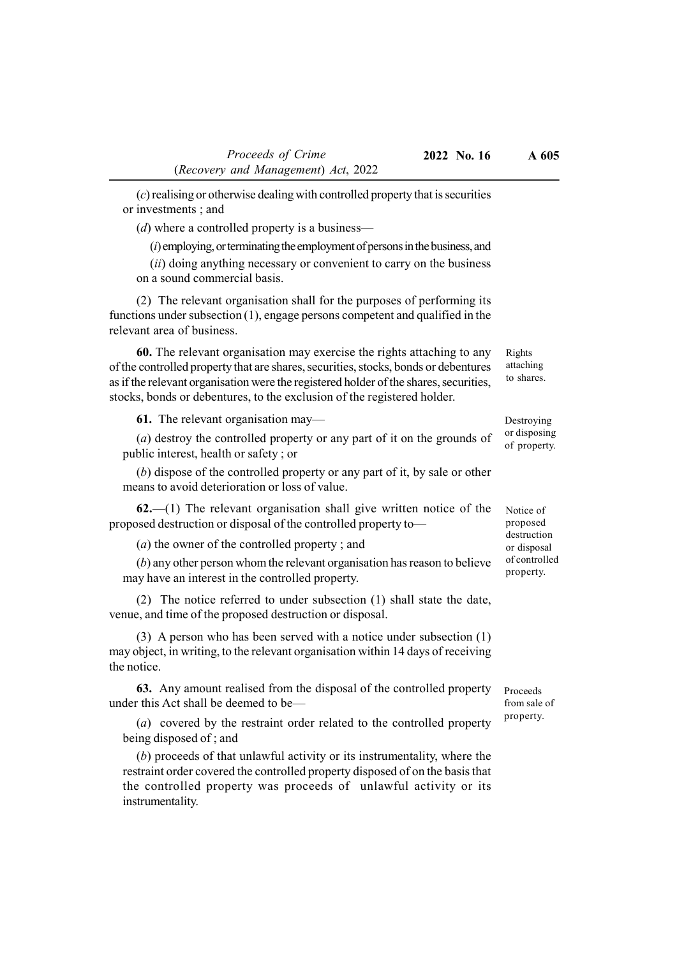(c) realising or otherwise dealing with controlled property that is securities or investments ; and

(*d*) where a controlled property is a business—

(i) employing, or terminating the employment of persons in the business, and

 $(ii)$  doing anything necessary or convenient to carry on the business on a sound commercial basis.

(2) The relevant organisation shall for the purposes of performing its functions under subsection (1), engage persons competent and qualified in the relevant area of business.

60. The relevant organisation may exercise the rights attaching to any of the controlled property that are shares, securities, stocks, bonds or debentures as if the relevant organisation were the registered holder of the shares, securities, stocks, bonds or debentures, to the exclusion of the registered holder.

61. The relevant organisation may—

(a) destroy the controlled property or any part of it on the grounds of public interest, health or safety ; or

(b) dispose of the controlled property or any part of it, by sale or other means to avoid deterioration or loss of value.

 $62$ —(1) The relevant organisation shall give written notice of the proposed destruction or disposal of the controlled property to—

(a) the owner of the controlled property ; and

(b) any other person whom the relevant organisation has reason to believe may have an interest in the controlled property.

(2) The notice referred to under subsection (1) shall state the date, venue, and time of the proposed destruction or disposal.

(3) A person who has been served with a notice under subsection (1) may object, in writing, to the relevant organisation within 14 days of receiving the notice.

63. Any amount realised from the disposal of the controlled property under this Act shall be deemed to be—

(a) covered by the restraint order related to the controlled property being disposed of ; and

(b) proceeds of that unlawful activity or its instrumentality, where the restraint order covered the controlled property disposed of on the basis that the controlled property was proceeds of unlawful activity or its instrumentality.

Rights attaching to shares.

Destroying or disposing of property.

Notice of proposed destruction or disposal of controlled property.

Proceeds from sale of property.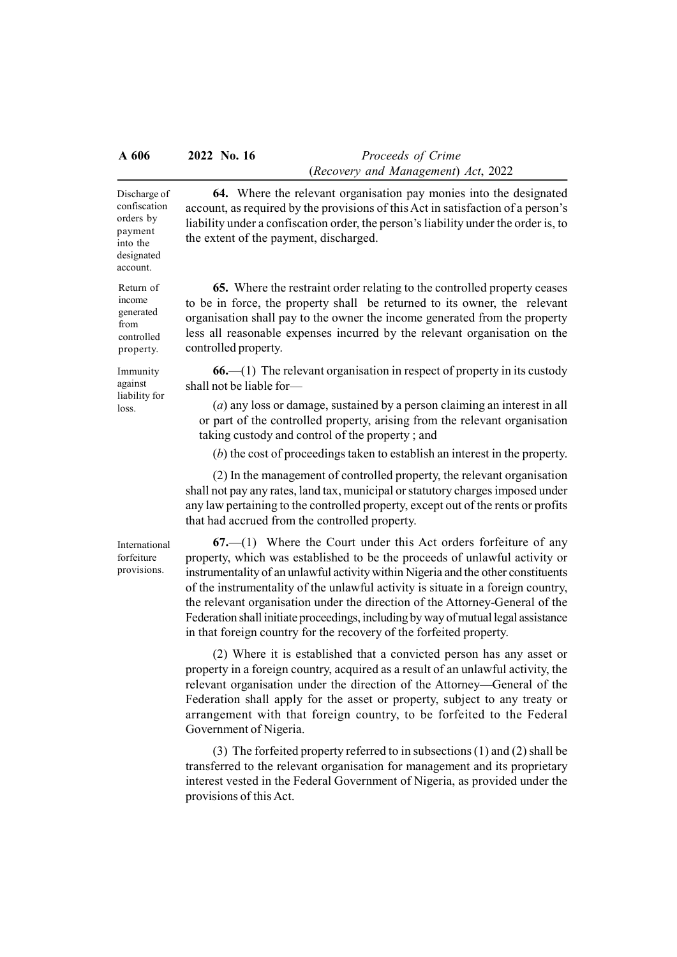| A 606 | 2022 No. 16 | Proceeds of Crime                   |
|-------|-------------|-------------------------------------|
|       |             | (Recovery and Management) Act, 2022 |

the extent of the payment, discharged.

controlled property.

Discharge of confiscation orders by payment into the designated account.

Return of income generated from controlled property.

Immunity against liability for loss.

66.—(1) The relevant organisation in respect of property in its custody shall not be liable for—

64. Where the relevant organisation pay monies into the designated account, as required by the provisions of this Act in satisfaction of a person's liability under a confiscation order, the person's liability under the order is, to

65. Where the restraint order relating to the controlled property ceases to be in force, the property shall be returned to its owner, the relevant organisation shall pay to the owner the income generated from the property less all reasonable expenses incurred by the relevant organisation on the

(a) any loss or damage, sustained by a person claiming an interest in all or part of the controlled property, arising from the relevant organisation taking custody and control of the property ; and

(b) the cost of proceedings taken to establish an interest in the property.

(2) In the management of controlled property, the relevant organisation shall not pay any rates, land tax, municipal or statutory charges imposed under any law pertaining to the controlled property, except out of the rents or profits that had accrued from the controlled property.

International forfeiture provisions.

 $67.$ — $(1)$  Where the Court under this Act orders forfeiture of any property, which was established to be the proceeds of unlawful activity or instrumentality of an unlawful activity within Nigeria and the other constituents of the instrumentality of the unlawful activity is situate in a foreign country, the relevant organisation under the direction of the Attorney-General of the Federation shall initiate proceedings, including by way of mutual legal assistance in that foreign country for the recovery of the forfeited property.

(2) Where it is established that a convicted person has any asset or property in a foreign country, acquired as a result of an unlawful activity, the relevant organisation under the direction of the Attorney—General of the Federation shall apply for the asset or property, subject to any treaty or arrangement with that foreign country, to be forfeited to the Federal Government of Nigeria.

(3) The forfeited property referred to in subsections (1) and (2) shall be transferred to the relevant organisation for management and its proprietary interest vested in the Federal Government of Nigeria, as provided under the provisions of this Act.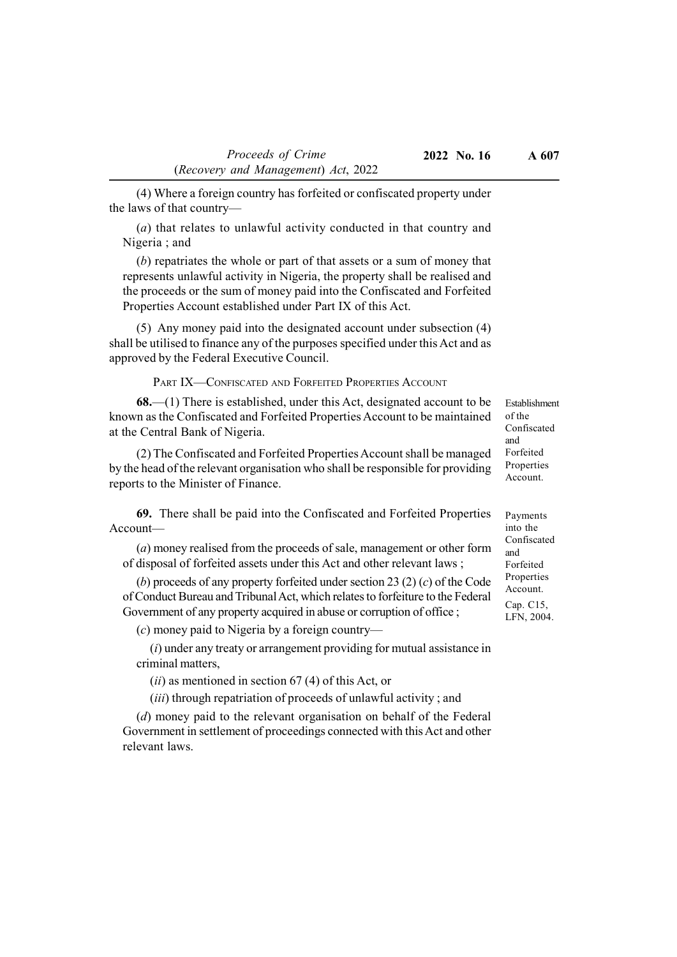(4) Where a foreign country has forfeited or confiscated property under the laws of that country—

(a) that relates to unlawful activity conducted in that country and Nigeria ; and

(b) repatriates the whole or part of that assets or a sum of money that represents unlawful activity in Nigeria, the property shall be realised and the proceeds or the sum of money paid into the Confiscated and Forfeited Properties Account established under Part IX of this Act.

(5) Any money paid into the designated account under subsection (4) shall be utilised to finance any of the purposes specified under this Act and as approved by the Federal Executive Council.

PART IX—CONFISCATED AND FORFEITED PROPERTIES ACCOUNT

 $68$ —(1) There is established, under this Act, designated account to be known as the Confiscated and Forfeited Properties Account to be maintained at the Central Bank of Nigeria.

(2) The Confiscated and Forfeited Properties Account shall be managed by the head of the relevant organisation who shall be responsible for providing reports to the Minister of Finance.

69. There shall be paid into the Confiscated and Forfeited Properties Account—

(a) money realised from the proceeds of sale, management or other form of disposal of forfeited assets under this Act and other relevant laws ;

(b) proceeds of any property forfeited under section 23 (2)  $(c)$  of the Code of Conduct Bureau and Tribunal Act, which relates to forfeiture to the Federal Government of any property acquired in abuse or corruption of office ;

(c) money paid to Nigeria by a foreign country—

 $(i)$  under any treaty or arrangement providing for mutual assistance in criminal matters,

 $(ii)$  as mentioned in section 67 (4) of this Act, or

(iii) through repatriation of proceeds of unlawful activity; and

(d) money paid to the relevant organisation on behalf of the Federal Government in settlement of proceedings connected with this Act and other relevant laws.

Establishment of the Confiscated and Forfeited Properties Account.

Payments into the Confiscated and Forfeited Properties Account.

Cap. C15, LFN, 2004.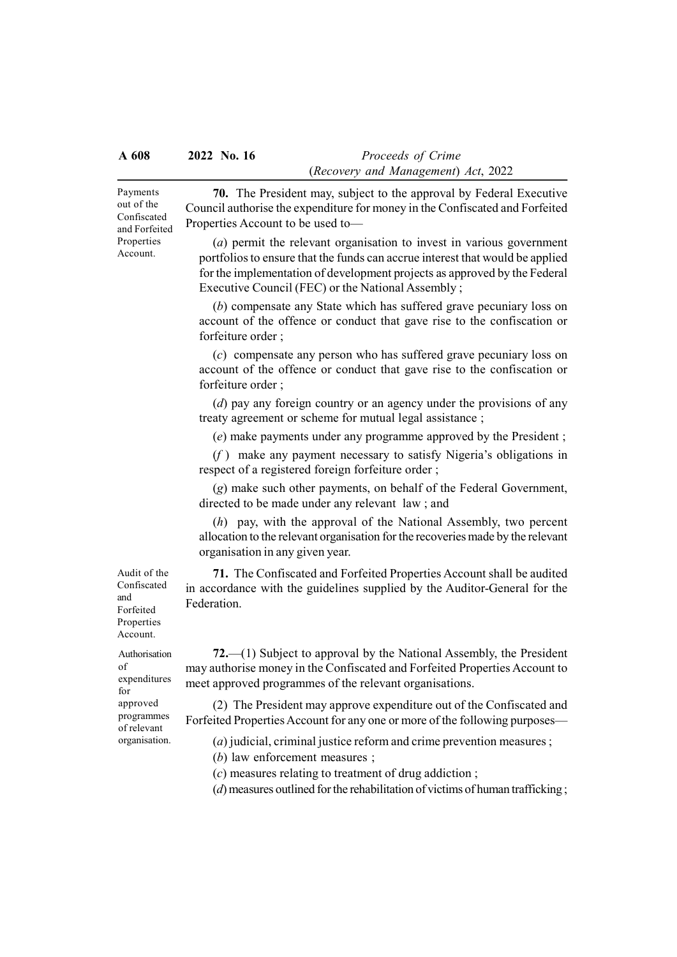## A 608 2022 No. 16 Proceeds of Crime (Recovery and Management) Act, 2022

Payments out of the Confiscated and Forfeited Properties Account.

70. The President may, subject to the approval by Federal Executive Council authorise the expenditure for money in the Confiscated and Forfeited Properties Account to be used to—

(a) permit the relevant organisation to invest in various government portfolios to ensure that the funds can accrue interest that would be applied for the implementation of development projects as approved by the Federal Executive Council (FEC) or the National Assembly ;

(b) compensate any State which has suffered grave pecuniary loss on account of the offence or conduct that gave rise to the confiscation or forfeiture order ;

(c) compensate any person who has suffered grave pecuniary loss on account of the offence or conduct that gave rise to the confiscation or forfeiture order ;

(d) pay any foreign country or an agency under the provisions of any treaty agreement or scheme for mutual legal assistance ;

(e) make payments under any programme approved by the President ;

 $(f)$  make any payment necessary to satisfy Nigeria's obligations in respect of a registered foreign forfeiture order ;

(g) make such other payments, on behalf of the Federal Government, directed to be made under any relevant law ; and

(h) pay, with the approval of the National Assembly, two percent allocation to the relevant organisation for the recoveries made by the relevant organisation in any given year.

71. The Confiscated and Forfeited Properties Account shall be audited in accordance with the guidelines supplied by the Auditor-General for the Federation.

72.—(1) Subject to approval by the National Assembly, the President may authorise money in the Confiscated and Forfeited Properties Account to meet approved programmes of the relevant organisations.

(2) The President may approve expenditure out of the Confiscated and Forfeited Properties Account for any one or more of the following purposes—

(a) judicial, criminal justice reform and crime prevention measures ;

(b) law enforcement measures ;

(c) measures relating to treatment of drug addiction ;

(d) measures outlined for the rehabilitation of victims of human trafficking ;

Audit of the Confiscated and Forfeited Properties Account.

Authorisation of expenditures for approved programmes of relevant organisation.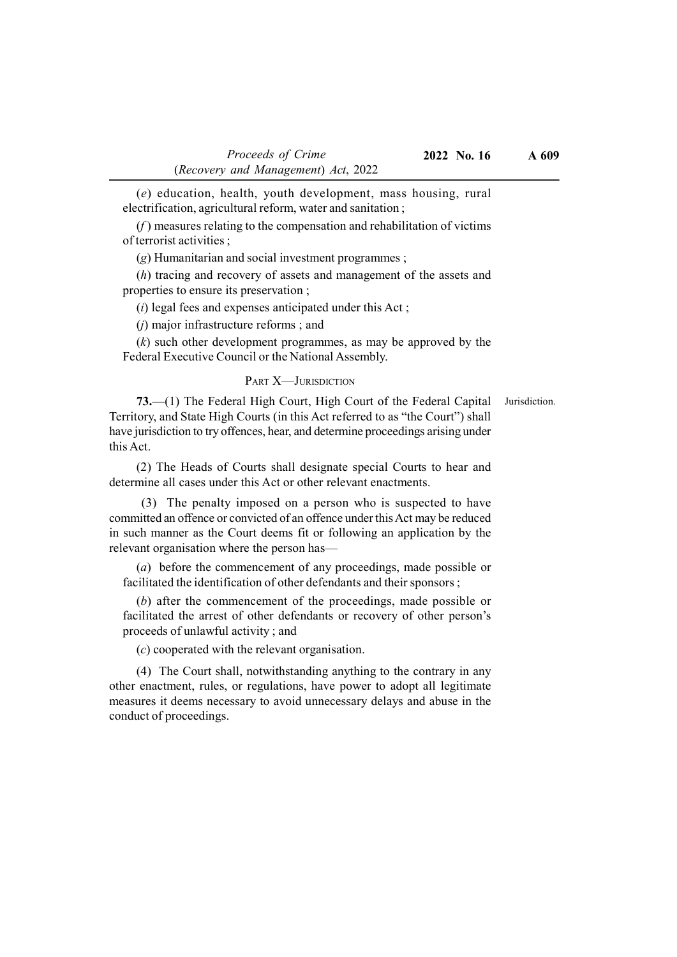(e) education, health, youth development, mass housing, rural electrification, agricultural reform, water and sanitation ;

 $(f)$  measures relating to the compensation and rehabilitation of victims of terrorist activities ;

(g) Humanitarian and social investment programmes ;

(h) tracing and recovery of assets and management of the assets and properties to ensure its preservation ;

 $(i)$  legal fees and expenses anticipated under this Act;

(j) major infrastructure reforms ; and

 $(k)$  such other development programmes, as may be approved by the Federal Executive Council or the National Assembly.

#### PART X—JURISDICTION

73.—(1) The Federal High Court, High Court of the Federal Capital Territory, and State High Courts (in this Act referred to as "the Court") shall have jurisdiction to try offences, hear, and determine proceedings arising under this Act. Jurisdiction.

(2) The Heads of Courts shall designate special Courts to hear and determine all cases under this Act or other relevant enactments.

 (3) The penalty imposed on a person who is suspected to have committed an offence or convicted of an offence under this Act may be reduced in such manner as the Court deems fit or following an application by the relevant organisation where the person has—

(a) before the commencement of any proceedings, made possible or facilitated the identification of other defendants and their sponsors ;

(b) after the commencement of the proceedings, made possible or facilitated the arrest of other defendants or recovery of other person's proceeds of unlawful activity ; and

(c) cooperated with the relevant organisation.

(4) The Court shall, notwithstanding anything to the contrary in any other enactment, rules, or regulations, have power to adopt all legitimate measures it deems necessary to avoid unnecessary delays and abuse in the conduct of proceedings.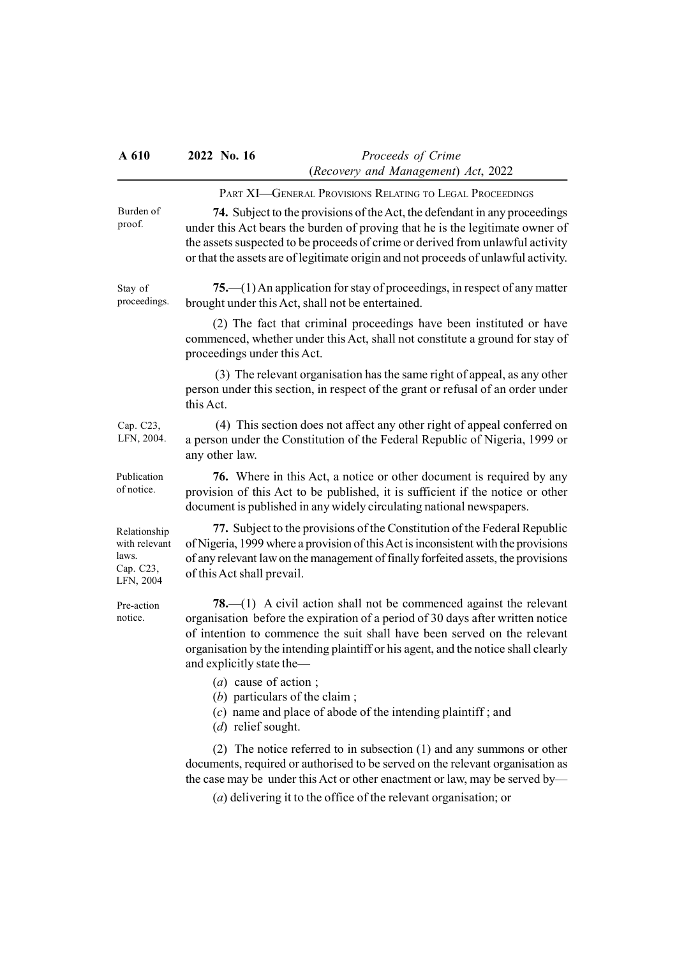| A 610                                                            | 2022 No. 16                                                                   | Proceeds of Crime<br>(Recovery and Management) Act, 2022                                                                                                                                                                                                                                                                            |
|------------------------------------------------------------------|-------------------------------------------------------------------------------|-------------------------------------------------------------------------------------------------------------------------------------------------------------------------------------------------------------------------------------------------------------------------------------------------------------------------------------|
|                                                                  |                                                                               | PART XI-GENERAL PROVISIONS RELATING TO LEGAL PROCEEDINGS                                                                                                                                                                                                                                                                            |
| Burden of<br>proof.                                              |                                                                               | 74. Subject to the provisions of the Act, the defendant in any proceedings<br>under this Act bears the burden of proving that he is the legitimate owner of<br>the assets suspected to be proceeds of crime or derived from unlawful activity<br>or that the assets are of legitimate origin and not proceeds of unlawful activity. |
| Stay of<br>proceedings.                                          |                                                                               | 75. $-(1)$ An application for stay of proceedings, in respect of any matter<br>brought under this Act, shall not be entertained.                                                                                                                                                                                                    |
|                                                                  | proceedings under this Act.                                                   | (2) The fact that criminal proceedings have been instituted or have<br>commenced, whether under this Act, shall not constitute a ground for stay of                                                                                                                                                                                 |
|                                                                  | this Act.                                                                     | (3) The relevant organisation has the same right of appeal, as any other<br>person under this section, in respect of the grant or refusal of an order under                                                                                                                                                                         |
| Cap. C23,<br>LFN, 2004.                                          | any other law.                                                                | (4) This section does not affect any other right of appeal conferred on<br>a person under the Constitution of the Federal Republic of Nigeria, 1999 or                                                                                                                                                                              |
| Publication<br>of notice.                                        |                                                                               | 76. Where in this Act, a notice or other document is required by any<br>provision of this Act to be published, it is sufficient if the notice or other<br>document is published in any widely circulating national newspapers.                                                                                                      |
| Relationship<br>with relevant<br>laws.<br>Cap. C23,<br>LFN, 2004 | of this Act shall prevail.                                                    | 77. Subject to the provisions of the Constitution of the Federal Republic<br>of Nigeria, 1999 where a provision of this Act is inconsistent with the provisions<br>of any relevant law on the management of finally forfeited assets, the provisions                                                                                |
| Pre-action<br>notice.                                            | and explicitly state the-                                                     | 78.—(1) A civil action shall not be commenced against the relevant<br>organisation before the expiration of a period of 30 days after written notice<br>of intention to commence the suit shall have been served on the relevant<br>organisation by the intending plaintiff or his agent, and the notice shall clearly              |
|                                                                  | (a) cause of action;<br>(b) particulars of the claim;<br>$(d)$ relief sought. | $(c)$ name and place of abode of the intending plaintiff; and                                                                                                                                                                                                                                                                       |
|                                                                  |                                                                               | (2) The notice referred to in subsection $(1)$ and any summons or other<br>documents, required or authorised to be served on the relevant organisation as<br>the case may be under this Act or other enactment or law, may be served by-                                                                                            |

(a) delivering it to the office of the relevant organisation; or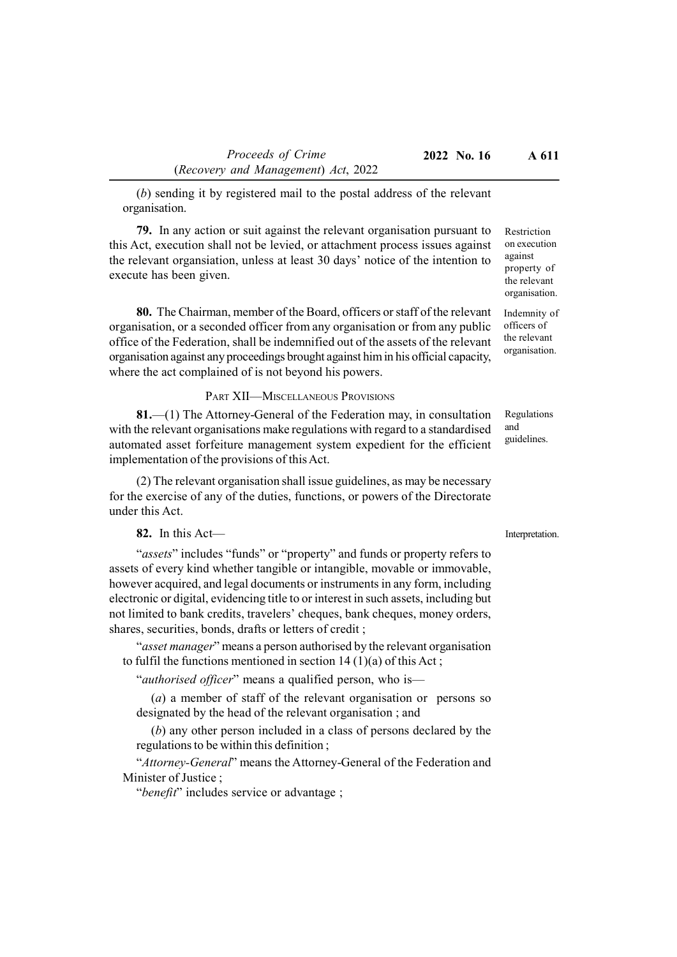(b) sending it by registered mail to the postal address of the relevant organisation.

79. In any action or suit against the relevant organisation pursuant to this Act, execution shall not be levied, or attachment process issues against the relevant organsiation, unless at least 30 days' notice of the intention to execute has been given.

80. The Chairman, member of the Board, officers or staff of the relevant organisation, or a seconded officer from any organisation or from any public office of the Federation, shall be indemnified out of the assets of the relevant organisation against any proceedings brought against him in his official capacity, where the act complained of is not beyond his powers.

#### PART XII—MISCELLANEOUS PROVISIONS

81.—(1) The Attorney-General of the Federation may, in consultation with the relevant organisations make regulations with regard to a standardised automated asset forfeiture management system expedient for the efficient implementation of the provisions of this Act.

(2) The relevant organisation shall issue guidelines, as may be necessary for the exercise of any of the duties, functions, or powers of the Directorate under this Act.

#### 82. In this Act—

"assets" includes "funds" or "property" and funds or property refers to assets of every kind whether tangible or intangible, movable or immovable, however acquired, and legal documents or instruments in any form, including electronic or digital, evidencing title to or interest in such assets, including but not limited to bank credits, travelers' cheques, bank cheques, money orders, shares, securities, bonds, drafts or letters of credit ;

"asset manager" means a person authorised by the relevant organisation to fulfil the functions mentioned in section  $14(1)(a)$  of this Act;

"authorised officer" means a qualified person, who is—

(a) a member of staff of the relevant organisation or persons so designated by the head of the relevant organisation ; and

(b) any other person included in a class of persons declared by the regulations to be within this definition ;

"Attorney-General" means the Attorney-General of the Federation and Minister of Justice ;

"benefit" includes service or advantage ;

Restriction on execution against property of the relevant organisation.

Indemnity of officers of the relevant organisation.

Regulations and guidelines.

Interpretation.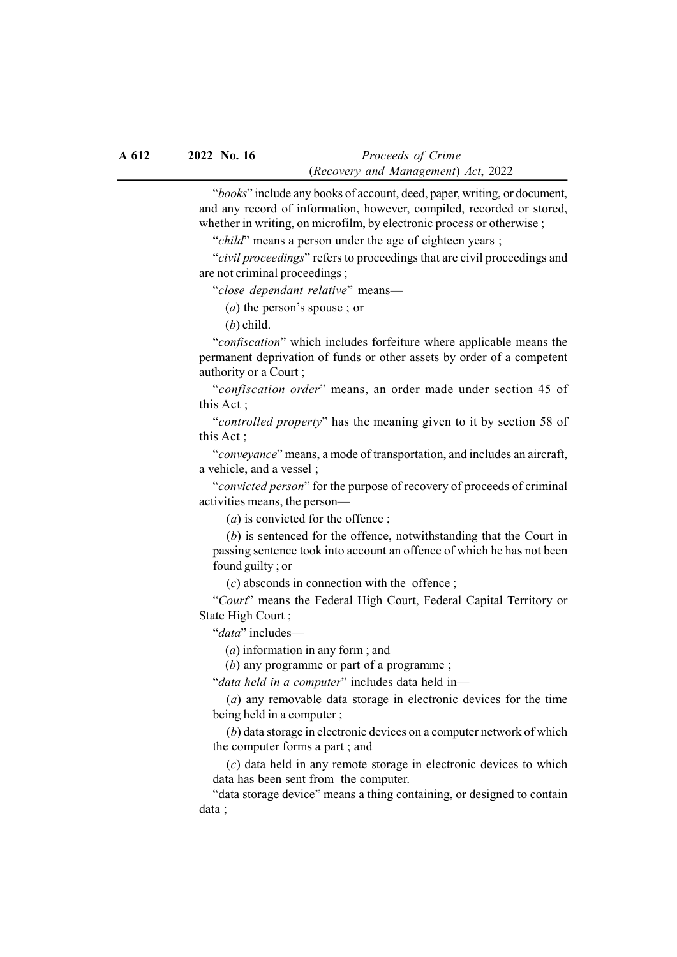"books" include any books of account, deed, paper, writing, or document, and any record of information, however, compiled, recorded or stored, whether in writing, on microfilm, by electronic process or otherwise;

"*child*" means a person under the age of eighteen years;

"civil proceedings" refers to proceedings that are civil proceedings and are not criminal proceedings ;

"close dependant relative" means—

(a) the person's spouse ; or

 $(b)$  child.

"confiscation" which includes forfeiture where applicable means the permanent deprivation of funds or other assets by order of a competent authority or a Court ;

"confiscation order" means, an order made under section 45 of this Act ;

"controlled property" has the meaning given to it by section 58 of this Act ;

"conveyance" means, a mode of transportation, and includes an aircraft, a vehicle, and a vessel ;

"convicted person" for the purpose of recovery of proceeds of criminal activities means, the person—

 $(a)$  is convicted for the offence :

(b) is sentenced for the offence, notwithstanding that the Court in passing sentence took into account an offence of which he has not been found guilty ; or

 $(c)$  absconds in connection with the offence;

"Court" means the Federal High Court, Federal Capital Territory or State High Court ;

"data" includes—

(a) information in any form ; and

(b) any programme or part of a programme ;

"data held in a computer" includes data held in-

(a) any removable data storage in electronic devices for the time being held in a computer ;

(b) data storage in electronic devices on a computer network of which the computer forms a part ; and

(c) data held in any remote storage in electronic devices to which data has been sent from the computer.

"data storage device" means a thing containing, or designed to contain data ;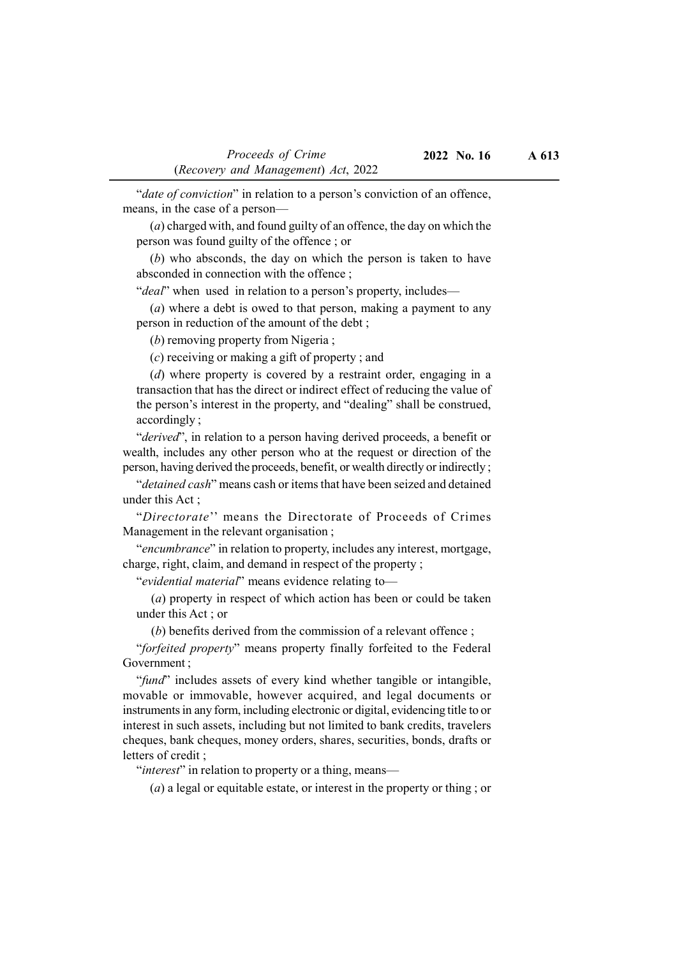"date of conviction" in relation to a person's conviction of an offence, means, in the case of a person—

(a) charged with, and found guilty of an offence, the day on which the person was found guilty of the offence ; or

(b) who absconds, the day on which the person is taken to have absconded in connection with the offence ;

"deal" when used in relation to a person's property, includes—

(a) where a debt is owed to that person, making a payment to any person in reduction of the amount of the debt ;

(b) removing property from Nigeria ;

(c) receiving or making a gift of property ; and

(d) where property is covered by a restraint order, engaging in a transaction that has the direct or indirect effect of reducing the value of the person's interest in the property, and "dealing" shall be construed, accordingly ;

"derived", in relation to a person having derived proceeds, a benefit or wealth, includes any other person who at the request or direction of the person, having derived the proceeds, benefit, or wealth directly or indirectly ;

"detained cash" means cash or items that have been seized and detained under this Act ;

"Directorate'' means the Directorate of Proceeds of Crimes Management in the relevant organisation ;

"encumbrance" in relation to property, includes any interest, mortgage, charge, right, claim, and demand in respect of the property ;

"evidential material" means evidence relating to—

(a) property in respect of which action has been or could be taken under this Act ; or

(b) benefits derived from the commission of a relevant offence ;

"forfeited property" means property finally forfeited to the Federal Government ;

"fund" includes assets of every kind whether tangible or intangible, movable or immovable, however acquired, and legal documents or instruments in any form, including electronic or digital, evidencing title to or interest in such assets, including but not limited to bank credits, travelers cheques, bank cheques, money orders, shares, securities, bonds, drafts or letters of credit ;

"*interest*" in relation to property or a thing, means—

 $(a)$  a legal or equitable estate, or interest in the property or thing; or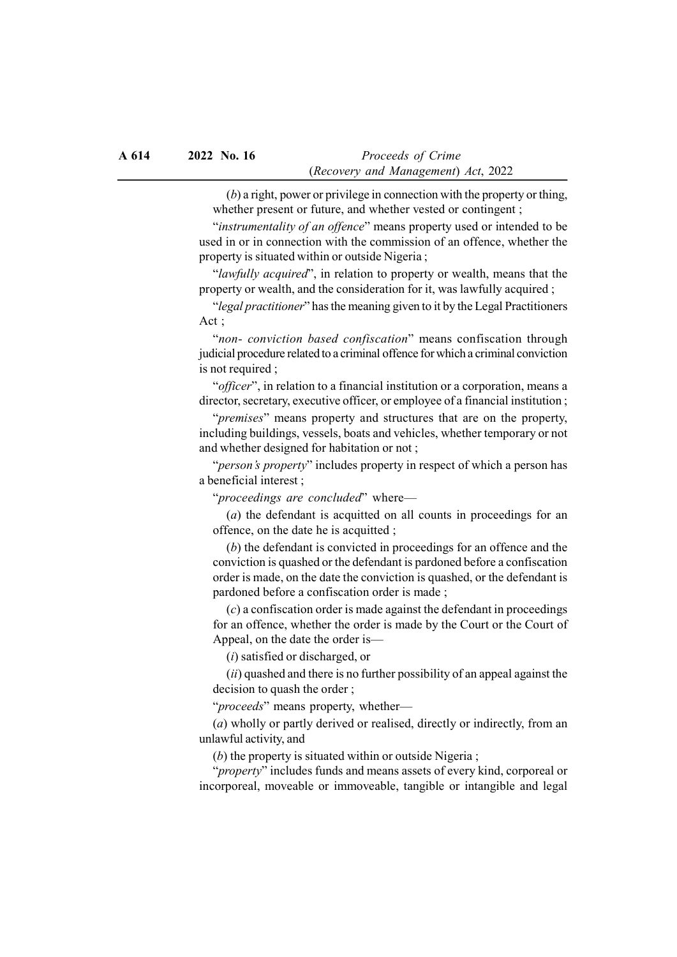(b) a right, power or privilege in connection with the property or thing, whether present or future, and whether vested or contingent ;

"instrumentality of an offence" means property used or intended to be used in or in connection with the commission of an offence, whether the property is situated within or outside Nigeria ;

"lawfully acquired", in relation to property or wealth, means that the property or wealth, and the consideration for it, was lawfully acquired ;

"legal practitioner" has the meaning given to it by the Legal Practitioners Act ;

"non- conviction based confiscation" means confiscation through judicial procedure related to a criminal offence for which a criminal conviction is not required ;

"officer", in relation to a financial institution or a corporation, means a director, secretary, executive officer, or employee of a financial institution ;

"premises" means property and structures that are on the property, including buildings, vessels, boats and vehicles, whether temporary or not and whether designed for habitation or not ;

"person's property" includes property in respect of which a person has a beneficial interest ;

"proceedings are concluded" where—

(a) the defendant is acquitted on all counts in proceedings for an offence, on the date he is acquitted ;

(b) the defendant is convicted in proceedings for an offence and the conviction is quashed or the defendant is pardoned before a confiscation order is made, on the date the conviction is quashed, or the defendant is pardoned before a confiscation order is made ;

 $(c)$  a confiscation order is made against the defendant in proceedings for an offence, whether the order is made by the Court or the Court of Appeal, on the date the order is—

(i) satisfied or discharged, or

(ii) quashed and there is no further possibility of an appeal against the decision to quash the order ;

"*proceeds*" means property, whether—

(a) wholly or partly derived or realised, directly or indirectly, from an unlawful activity, and

(b) the property is situated within or outside Nigeria;

"*property*" includes funds and means assets of every kind, corporeal or incorporeal, moveable or immoveable, tangible or intangible and legal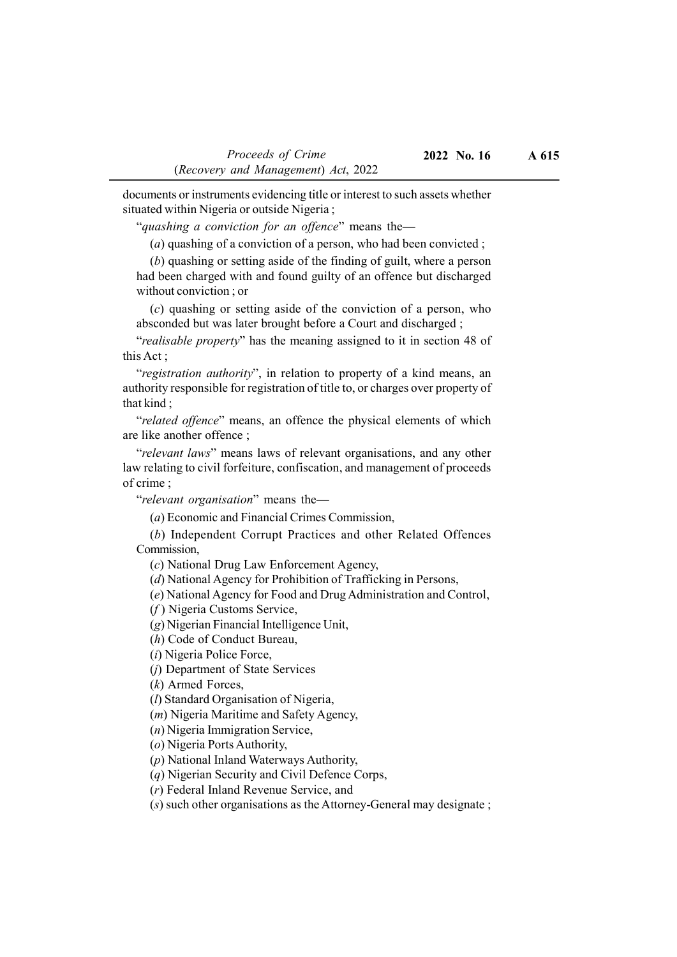documents or instruments evidencing title or interest to such assets whether situated within Nigeria or outside Nigeria ;

"quashing a conviction for an offence" means the-

(*a*) quashing of a conviction of a person, who had been convicted ;

(b) quashing or setting aside of the finding of guilt, where a person had been charged with and found guilty of an offence but discharged without conviction ; or

 $(c)$  quashing or setting aside of the conviction of a person, who absconded but was later brought before a Court and discharged ;

"realisable property" has the meaning assigned to it in section 48 of this Act ;

"registration authority", in relation to property of a kind means, an authority responsible for registration of title to, or charges over property of that kind ;

"related offence" means, an offence the physical elements of which are like another offence ;

"relevant laws" means laws of relevant organisations, and any other law relating to civil forfeiture, confiscation, and management of proceeds of crime ;

"relevant organisation" means the—

(a) Economic and Financial Crimes Commission,

(b) Independent Corrupt Practices and other Related Offences Commission,

(c) National Drug Law Enforcement Agency,

(d) National Agency for Prohibition of Trafficking in Persons,

(e) National Agency for Food and Drug Administration and Control,

 $(f)$  Nigeria Customs Service,

(g) Nigerian Financial Intelligence Unit,

(h) Code of Conduct Bureau,

(i) Nigeria Police Force,

(j) Department of State Services

(k) Armed Forces,

(l) Standard Organisation of Nigeria,

(m) Nigeria Maritime and Safety Agency,

(n) Nigeria Immigration Service,

(o) Nigeria Ports Authority,

(p) National Inland Waterways Authority,

(q) Nigerian Security and Civil Defence Corps,

(r) Federal Inland Revenue Service, and

(s) such other organisations as the Attorney-General may designate ;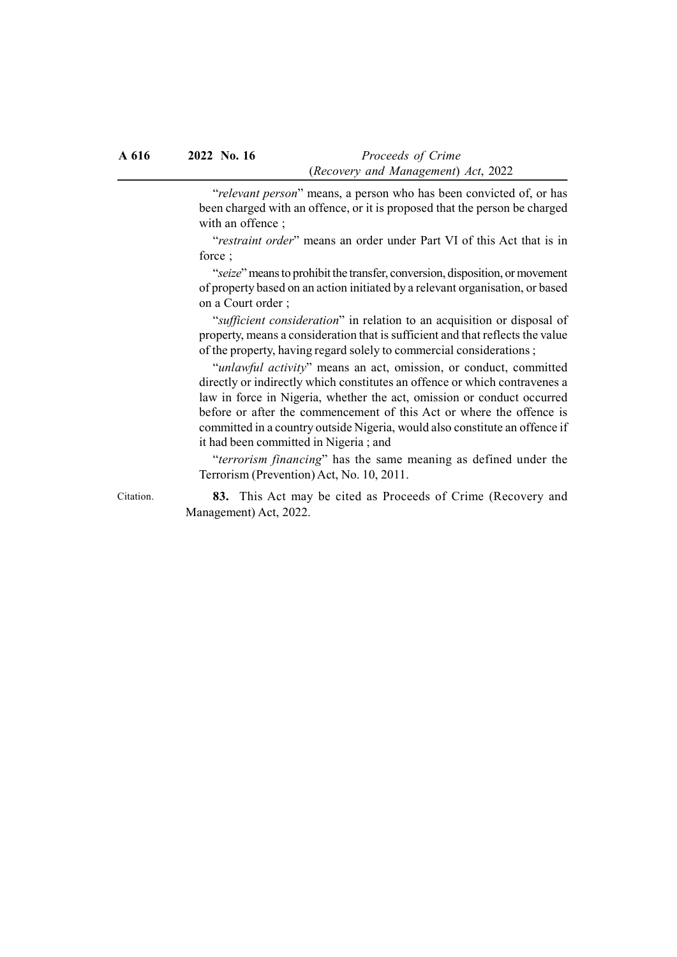"relevant person" means, a person who has been convicted of, or has been charged with an offence, or it is proposed that the person be charged with an offence ;

"restraint order" means an order under Part VI of this Act that is in force ;

"seize" means to prohibit the transfer, conversion, disposition, or movement of property based on an action initiated by a relevant organisation, or based on a Court order ;

"sufficient consideration" in relation to an acquisition or disposal of property, means a consideration that is sufficient and that reflects the value of the property, having regard solely to commercial considerations ;

"unlawful activity" means an act, omission, or conduct, committed directly or indirectly which constitutes an offence or which contravenes a law in force in Nigeria, whether the act, omission or conduct occurred before or after the commencement of this Act or where the offence is committed in a country outside Nigeria, would also constitute an offence if it had been committed in Nigeria ; and

"terrorism financing" has the same meaning as defined under the Terrorism (Prevention) Act, No. 10, 2011.

83. This Act may be cited as Proceeds of Crime (Recovery and Management) Act, 2022.

Citation.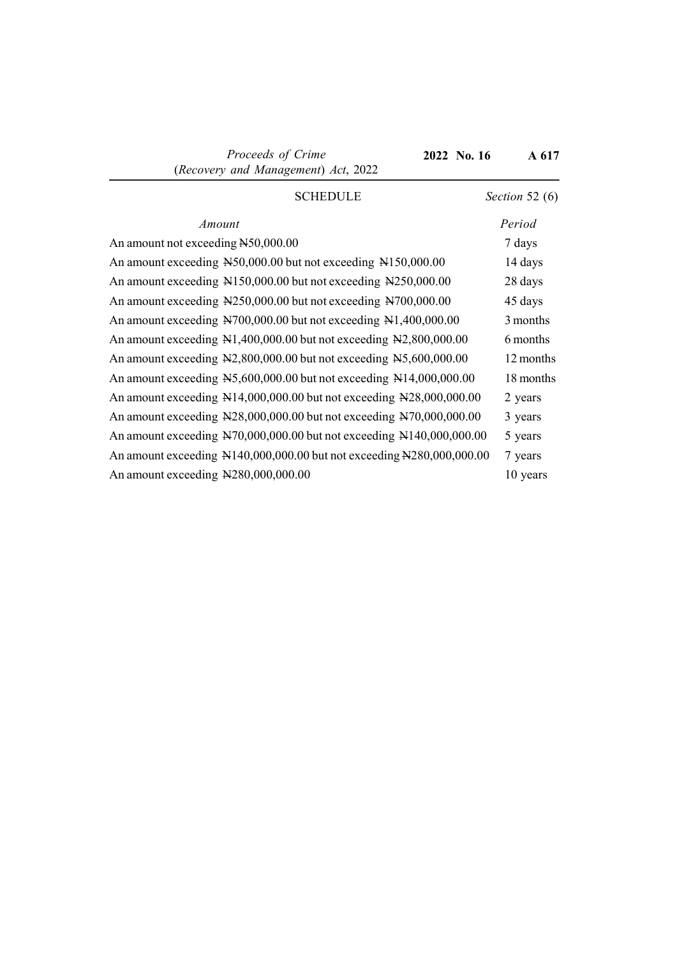| Proceeds of Crime<br>(Recovery and Management) Act, 2022 | 2022 No. 16 | A 617            |
|----------------------------------------------------------|-------------|------------------|
| <b>SCHEDULE</b>                                          |             | Section 52 $(6)$ |

 $\overline{\phantom{a}}$ 

L

| <b>TIO. TO</b> |  | A V. |  |
|----------------|--|------|--|
|                |  |      |  |
|                |  |      |  |

| <b>SCHEDULE</b>                                                       | Section 52 $(6)$ |
|-----------------------------------------------------------------------|------------------|
| Amount                                                                | Period           |
| An amount not exceeding N50,000.00                                    | 7 days           |
| An amount exceeding N50,000.00 but not exceeding N150,000.00          | 14 days          |
| An amount exceeding N150,000.00 but not exceeding N250,000.00         | 28 days          |
| An amount exceeding N250,000.00 but not exceeding N700,000.00         | 45 days          |
| An amount exceeding N700,000.00 but not exceeding N1,400,000.00       | 3 months         |
| An amount exceeding N1,400,000.00 but not exceeding N2,800,000.00     | 6 months         |
| An amount exceeding N2,800,000.00 but not exceeding N5,600,000.00     | 12 months        |
| An amount exceeding N5,600,000.00 but not exceeding N14,000,000.00    | 18 months        |
| An amount exceeding N14,000,000.00 but not exceeding N28,000,000.00   | 2 years          |
| An amount exceeding N28,000,000.00 but not exceeding N70,000,000.00   | 3 years          |
| An amount exceeding N70,000,000.00 but not exceeding N140,000,000.00  | 5 years          |
| An amount exceeding N140,000,000.00 but not exceeding N280,000,000.00 | 7 years          |
| An amount exceeding N280,000,000.00                                   | 10 years         |
|                                                                       |                  |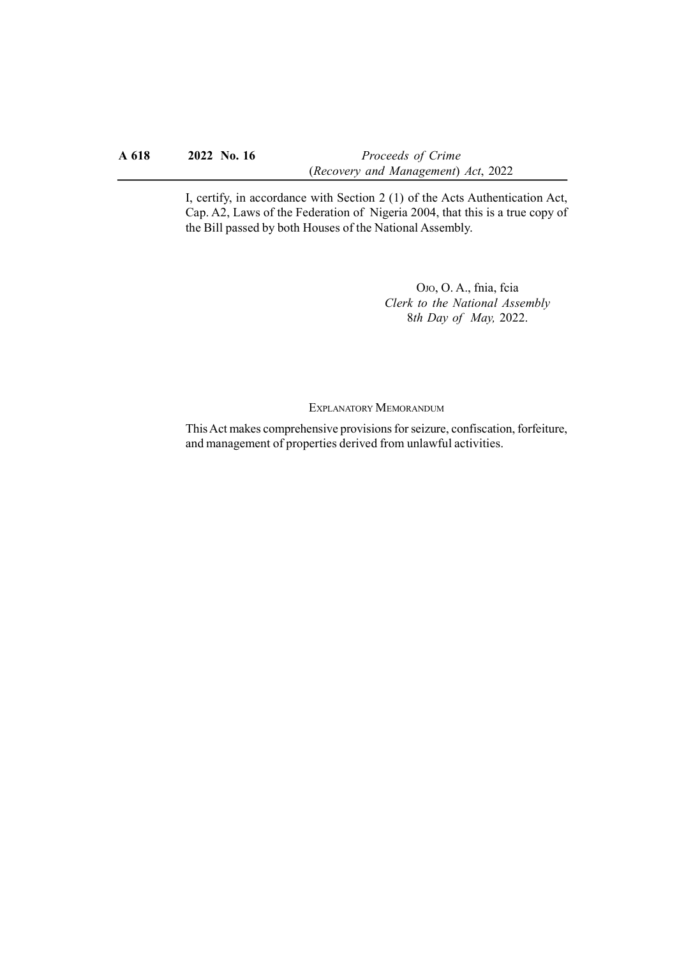### A 618 2022 No. 16 Proceeds of Crime (Recovery and Management) Act, 2022

I, certify, in accordance with Section 2 (1) of the Acts Authentication Act, Cap. A2, Laws of the Federation of Nigeria 2004, that this is a true copy of the Bill passed by both Houses of the National Assembly.

> OJO, O. A., fnia, fcia Clerk to the National Assembly 8th Day of May, 2022.

EXPLANATORY MEMORANDUM

This Act makes comprehensive provisions for seizure, confiscation, forfeiture, and management of properties derived from unlawful activities.